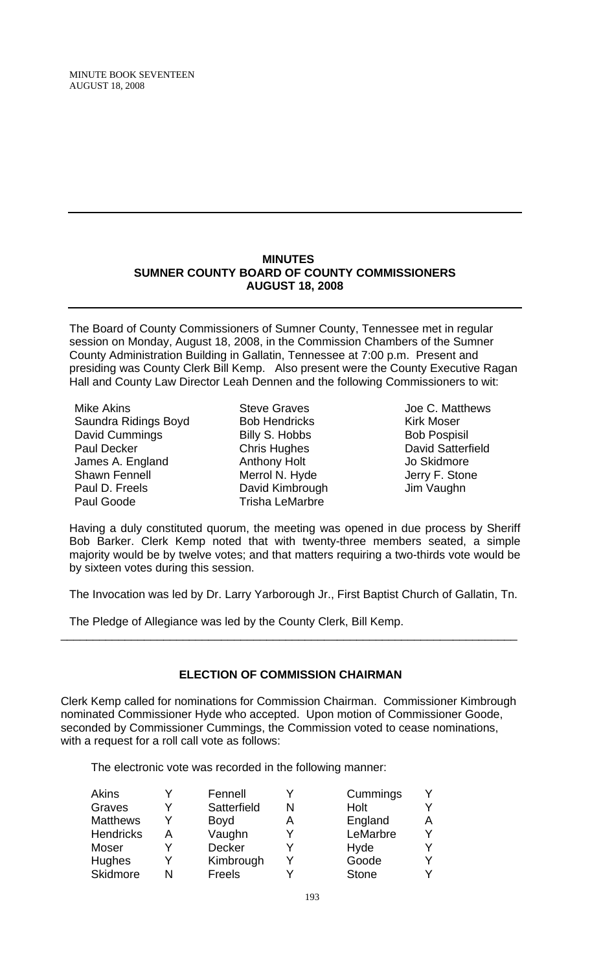MINUTE BOOK SEVENTEEN AUGUST 18, 2008

#### **MINUTES SUMNER COUNTY BOARD OF COUNTY COMMISSIONERS AUGUST 18, 2008**

The Board of County Commissioners of Sumner County, Tennessee met in regular session on Monday, August 18, 2008, in the Commission Chambers of the Sumner County Administration Building in Gallatin, Tennessee at 7:00 p.m. Present and presiding was County Clerk Bill Kemp. Also present were the County Executive Ragan Hall and County Law Director Leah Dennen and the following Commissioners to wit:

- Mike Akins Saundra Ridings Boyd David Cummings Paul Decker James A. England Shawn Fennell Paul D. Freels Paul Goode
- Steve Graves Bob Hendricks Billy S. Hobbs Chris Hughes Anthony Holt Merrol N. Hyde David Kimbrough Trisha LeMarbre
- Joe C. Matthews Kirk Moser Bob Pospisil David Satterfield Jo Skidmore Jerry F. Stone Jim Vaughn

Having a duly constituted quorum, the meeting was opened in due process by Sheriff Bob Barker. Clerk Kemp noted that with twenty-three members seated, a simple majority would be by twelve votes; and that matters requiring a two-thirds vote would be by sixteen votes during this session.

The Invocation was led by Dr. Larry Yarborough Jr., First Baptist Church of Gallatin, Tn.

The Pledge of Allegiance was led by the County Clerk, Bill Kemp.

# **ELECTION OF COMMISSION CHAIRMAN**

\_\_\_\_\_\_\_\_\_\_\_\_\_\_\_\_\_\_\_\_\_\_\_\_\_\_\_\_\_\_\_\_\_\_\_\_\_\_\_\_\_\_\_\_\_\_\_\_\_\_\_\_\_\_\_\_\_\_\_\_\_\_\_\_\_\_\_\_\_\_\_

Clerk Kemp called for nominations for Commission Chairman. Commissioner Kimbrough nominated Commissioner Hyde who accepted. Upon motion of Commissioner Goode, seconded by Commissioner Cummings, the Commission voted to cease nominations, with a request for a roll call vote as follows:

The electronic vote was recorded in the following manner:

|   | Fennell       |   | Cummings     |  |
|---|---------------|---|--------------|--|
|   | Satterfield   |   | Holt         |  |
|   | <b>Boyd</b>   | А | England      |  |
| А | Vaughn        |   | LeMarbre     |  |
|   | <b>Decker</b> |   | Hyde         |  |
|   | Kimbrough     |   | Goode        |  |
| N | Freels        |   | <b>Stone</b> |  |
|   |               |   |              |  |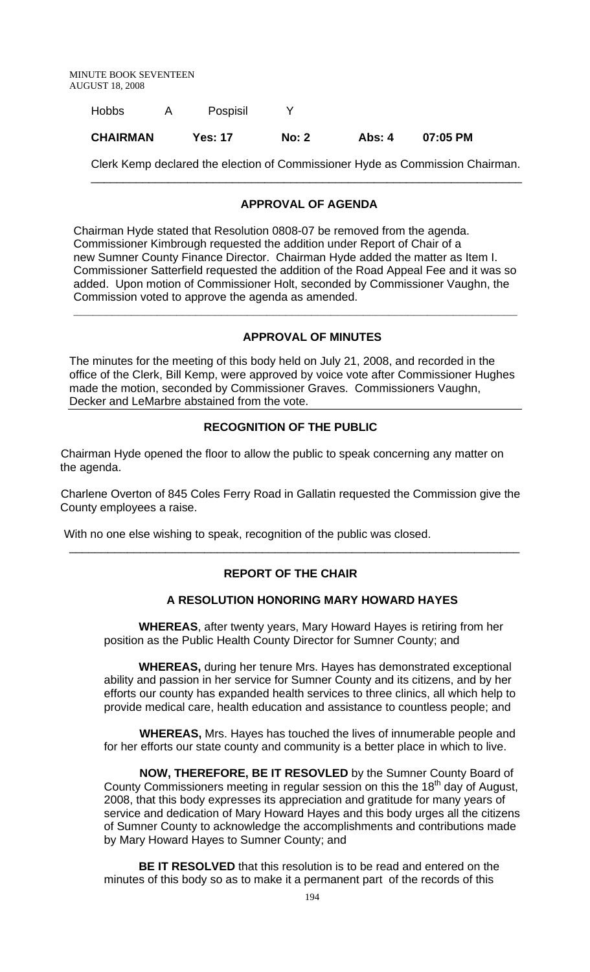| <b>Hobbs</b>    | Pospisil       |              |        |          |
|-----------------|----------------|--------------|--------|----------|
| <b>CHAIRMAN</b> | <b>Yes: 17</b> | <b>No: 2</b> | Abs: 4 | 07:05 PM |

Clerk Kemp declared the election of Commissioner Hyde as Commission Chairman. \_\_\_\_\_\_\_\_\_\_\_\_\_\_\_\_\_\_\_\_\_\_\_\_\_\_\_\_\_\_\_\_\_\_\_\_\_\_\_\_\_\_\_\_\_\_\_\_\_\_\_\_\_\_\_\_\_\_\_\_\_\_\_\_\_\_\_

## **APPROVAL OF AGENDA**

Chairman Hyde stated that Resolution 0808-07 be removed from the agenda. Commissioner Kimbrough requested the addition under Report of Chair of a new Sumner County Finance Director. Chairman Hyde added the matter as Item I. Commissioner Satterfield requested the addition of the Road Appeal Fee and it was so added. Upon motion of Commissioner Holt, seconded by Commissioner Vaughn, the Commission voted to approve the agenda as amended.

 **\_\_\_\_\_\_\_\_\_\_\_\_\_\_\_\_\_\_\_\_\_\_\_\_\_\_\_\_\_\_\_\_\_\_\_\_\_\_\_\_\_\_\_\_\_\_\_\_\_\_\_\_\_\_\_\_\_\_\_\_\_\_\_\_\_\_\_\_\_** 

## **APPROVAL OF MINUTES**

The minutes for the meeting of this body held on July 21, 2008, and recorded in the office of the Clerk, Bill Kemp, were approved by voice vote after Commissioner Hughes made the motion, seconded by Commissioner Graves. Commissioners Vaughn, Decker and LeMarbre abstained from the vote.

## **RECOGNITION OF THE PUBLIC**

Chairman Hyde opened the floor to allow the public to speak concerning any matter on the agenda.

Charlene Overton of 845 Coles Ferry Road in Gallatin requested the Commission give the County employees a raise.

With no one else wishing to speak, recognition of the public was closed.

# **REPORT OF THE CHAIR**

\_\_\_\_\_\_\_\_\_\_\_\_\_\_\_\_\_\_\_\_\_\_\_\_\_\_\_\_\_\_\_\_\_\_\_\_\_\_\_\_\_\_\_\_\_\_\_\_\_\_\_\_\_\_\_\_\_\_\_\_\_\_\_\_\_\_\_\_\_\_

### **A RESOLUTION HONORING MARY HOWARD HAYES**

 **WHEREAS**, after twenty years, Mary Howard Hayes is retiring from her position as the Public Health County Director for Sumner County; and

**WHEREAS,** during her tenure Mrs. Hayes has demonstrated exceptional ability and passion in her service for Sumner County and its citizens, and by her efforts our county has expanded health services to three clinics, all which help to provide medical care, health education and assistance to countless people; and

 **WHEREAS,** Mrs. Hayes has touched the lives of innumerable people and for her efforts our state county and community is a better place in which to live.

 **NOW, THEREFORE, BE IT RESOVLED** by the Sumner County Board of County Commissioners meeting in regular session on this the 18<sup>th</sup> day of August, 2008, that this body expresses its appreciation and gratitude for many years of service and dedication of Mary Howard Hayes and this body urges all the citizens of Sumner County to acknowledge the accomplishments and contributions made by Mary Howard Hayes to Sumner County; and

 **BE IT RESOLVED** that this resolution is to be read and entered on the minutes of this body so as to make it a permanent part of the records of this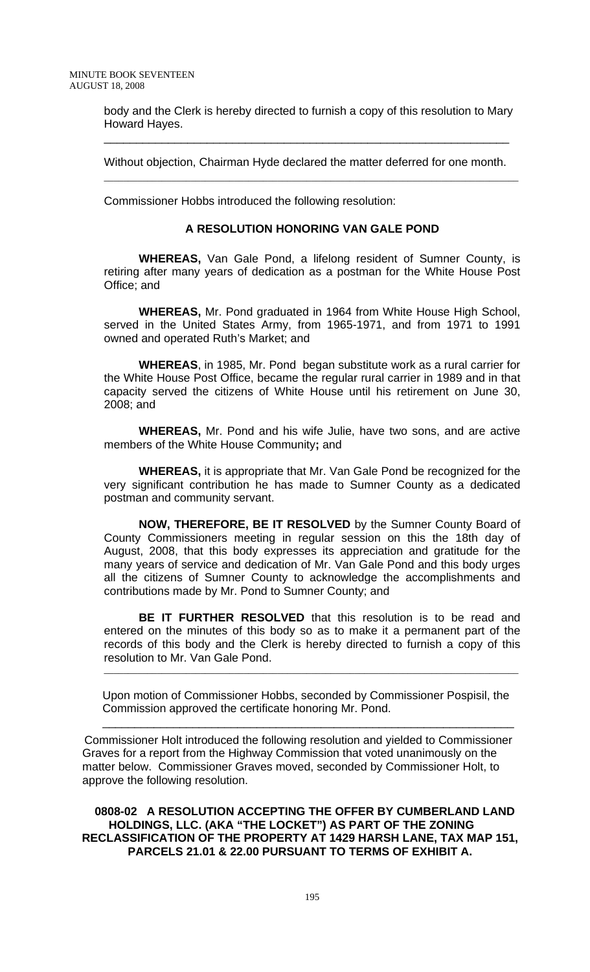body and the Clerk is hereby directed to furnish a copy of this resolution to Mary Howard Hayes.

\_\_\_\_\_\_\_\_\_\_\_\_\_\_\_\_\_\_\_\_\_\_\_\_\_\_\_\_\_\_\_\_\_\_\_\_\_\_\_\_\_\_\_\_\_\_\_\_\_\_\_\_\_\_\_\_\_\_\_\_\_\_\_

Without objection, Chairman Hyde declared the matter deferred for one month.

 $\mathcal{L}_\text{max}$  , and the contribution of the contribution of the contribution of the contribution of the contribution of the contribution of the contribution of the contribution of the contribution of the contribution of t

Commissioner Hobbs introduced the following resolution:

#### **A RESOLUTION HONORING VAN GALE POND**

 **WHEREAS,** Van Gale Pond, a lifelong resident of Sumner County, is retiring after many years of dedication as a postman for the White House Post Office; and

**WHEREAS,** Mr. Pond graduated in 1964 from White House High School, served in the United States Army, from 1965-1971, and from 1971 to 1991 owned and operated Ruth's Market; and

**WHEREAS**, in 1985, Mr. Pond began substitute work as a rural carrier for the White House Post Office, became the regular rural carrier in 1989 and in that capacity served the citizens of White House until his retirement on June 30, 2008; and

**WHEREAS,** Mr. Pond and his wife Julie, have two sons, and are active members of the White House Community**;** and

**WHEREAS,** it is appropriate that Mr. Van Gale Pond be recognized for the very significant contribution he has made to Sumner County as a dedicated postman and community servant.

**NOW, THEREFORE, BE IT RESOLVED** by the Sumner County Board of County Commissioners meeting in regular session on this the 18th day of August, 2008, that this body expresses its appreciation and gratitude for the many years of service and dedication of Mr. Van Gale Pond and this body urges all the citizens of Sumner County to acknowledge the accomplishments and contributions made by Mr. Pond to Sumner County; and

**BE IT FURTHER RESOLVED** that this resolution is to be read and entered on the minutes of this body so as to make it a permanent part of the records of this body and the Clerk is hereby directed to furnish a copy of this resolution to Mr. Van Gale Pond.

\_\_\_\_\_\_\_\_\_\_\_\_\_\_\_\_\_\_\_\_\_\_\_\_\_\_\_\_\_\_\_\_\_\_\_\_\_\_\_\_\_\_\_\_\_\_\_\_\_\_\_\_\_\_\_\_\_\_\_\_\_\_\_\_\_\_\_\_\_\_\_\_\_\_\_\_\_\_\_\_\_\_\_\_\_\_

 Upon motion of Commissioner Hobbs, seconded by Commissioner Pospisil, the Commission approved the certificate honoring Mr. Pond.

Commissioner Holt introduced the following resolution and yielded to Commissioner Graves for a report from the Highway Commission that voted unanimously on the matter below. Commissioner Graves moved, seconded by Commissioner Holt, to approve the following resolution.

\_\_\_\_\_\_\_\_\_\_\_\_\_\_\_\_\_\_\_\_\_\_\_\_\_\_\_\_\_\_\_\_\_\_\_\_\_\_\_\_\_\_\_\_\_\_\_\_\_\_\_\_\_\_\_\_\_\_\_\_\_\_\_\_

 **0808-02 A RESOLUTION ACCEPTING THE OFFER BY CUMBERLAND LAND HOLDINGS, LLC. (AKA "THE LOCKET") AS PART OF THE ZONING RECLASSIFICATION OF THE PROPERTY AT 1429 HARSH LANE, TAX MAP 151, PARCELS 21.01 & 22.00 PURSUANT TO TERMS OF EXHIBIT A.**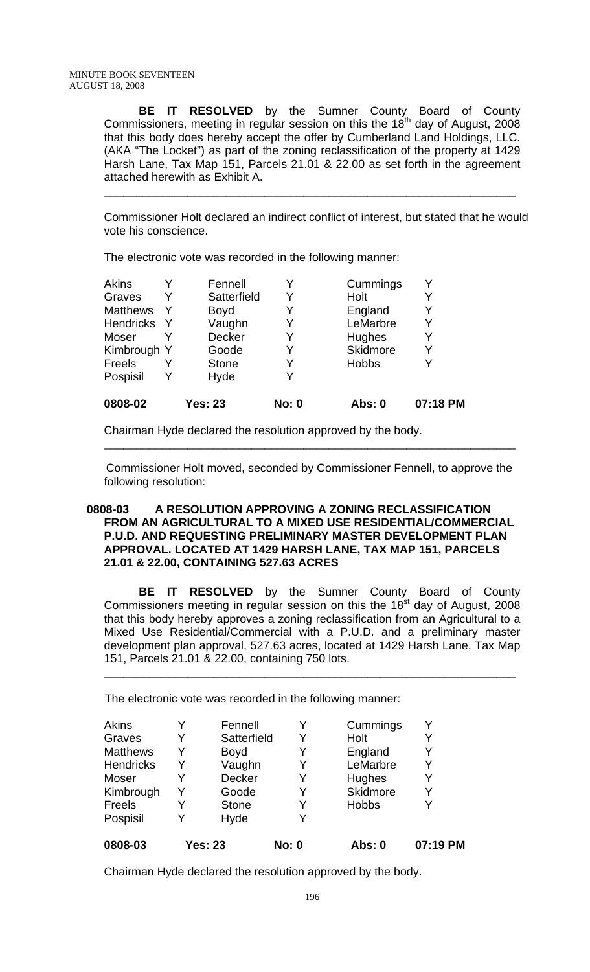**BE IT RESOLVED** by the Sumner County Board of County Commissioners, meeting in regular session on this the  $18<sup>th</sup>$  day of August, 2008 that this body does hereby accept the offer by Cumberland Land Holdings, LLC. (AKA "The Locket") as part of the zoning reclassification of the property at 1429 Harsh Lane, Tax Map 151, Parcels 21.01 & 22.00 as set forth in the agreement attached herewith as Exhibit A.

\_\_\_\_\_\_\_\_\_\_\_\_\_\_\_\_\_\_\_\_\_\_\_\_\_\_\_\_\_\_\_\_\_\_\_\_\_\_\_\_\_\_\_\_\_\_\_\_\_\_\_\_\_\_\_\_\_\_\_\_\_\_\_\_

 Commissioner Holt declared an indirect conflict of interest, but stated that he would vote his conscience.

The electronic vote was recorded in the following manner:

| 0808-02          | <b>Yes: 23</b> | <b>No: 0</b> | Abs: 0          | 07:18 PM |
|------------------|----------------|--------------|-----------------|----------|
| Pospisil         | Hyde           | Y            |                 |          |
| <b>Freels</b>    | <b>Stone</b>   | Y            | <b>Hobbs</b>    |          |
| Kimbrough Y      | Goode          | Y            | <b>Skidmore</b> |          |
| Moser            | Decker         | Y            | Hughes          |          |
| <b>Hendricks</b> | Vaughn         | Y            | LeMarbre        |          |
| <b>Matthews</b>  | <b>Boyd</b>    | Y            | England         |          |
| Graves           | Satterfield    | Y            | Holt            |          |
| <b>Akins</b>     | Fennell        |              | Cummings        |          |

Chairman Hyde declared the resolution approved by the body.

 Commissioner Holt moved, seconded by Commissioner Fennell, to approve the following resolution:

\_\_\_\_\_\_\_\_\_\_\_\_\_\_\_\_\_\_\_\_\_\_\_\_\_\_\_\_\_\_\_\_\_\_\_\_\_\_\_\_\_\_\_\_\_\_\_\_\_\_\_\_\_\_\_\_\_\_\_\_\_\_\_\_

## **0808-03 A RESOLUTION APPROVING A ZONING RECLASSIFICATION FROM AN AGRICULTURAL TO A MIXED USE RESIDENTIAL/COMMERCIAL P.U.D. AND REQUESTING PRELIMINARY MASTER DEVELOPMENT PLAN APPROVAL. LOCATED AT 1429 HARSH LANE, TAX MAP 151, PARCELS 21.01 & 22.00, CONTAINING 527.63 ACRES**

 **BE IT RESOLVED** by the Sumner County Board of County Commissioners meeting in regular session on this the  $18<sup>st</sup>$  day of August, 2008 that this body hereby approves a zoning reclassification from an Agricultural to a Mixed Use Residential/Commercial with a P.U.D. and a preliminary master development plan approval, 527.63 acres, located at 1429 Harsh Lane, Tax Map 151, Parcels 21.01 & 22.00, containing 750 lots.

\_\_\_\_\_\_\_\_\_\_\_\_\_\_\_\_\_\_\_\_\_\_\_\_\_\_\_\_\_\_\_\_\_\_\_\_\_\_\_\_\_\_\_\_\_\_\_\_\_\_\_\_\_\_\_\_\_\_\_\_\_\_\_\_

The electronic vote was recorded in the following manner:

| 0808-03          |   | <b>Yes: 23</b> | <b>No: 0</b> | Abs: 0       | 07:19 PM |
|------------------|---|----------------|--------------|--------------|----------|
| Pospisil         | Y | Hyde           | v            |              |          |
| Freels           | Y | <b>Stone</b>   | Y            | <b>Hobbs</b> |          |
| Kimbrough        | Y | Goode          | Y            | Skidmore     | Y        |
| Moser            | Y | Decker         | Y            | Hughes       | V        |
| <b>Hendricks</b> | Y | Vaughn         |              | LeMarbre     |          |
| <b>Matthews</b>  | Y | <b>Boyd</b>    | Y            | England      |          |
| Graves           | Y | Satterfield    | Y            | Holt         |          |
| <b>Akins</b>     |   | Fennell        |              | Cummings     |          |

Chairman Hyde declared the resolution approved by the body.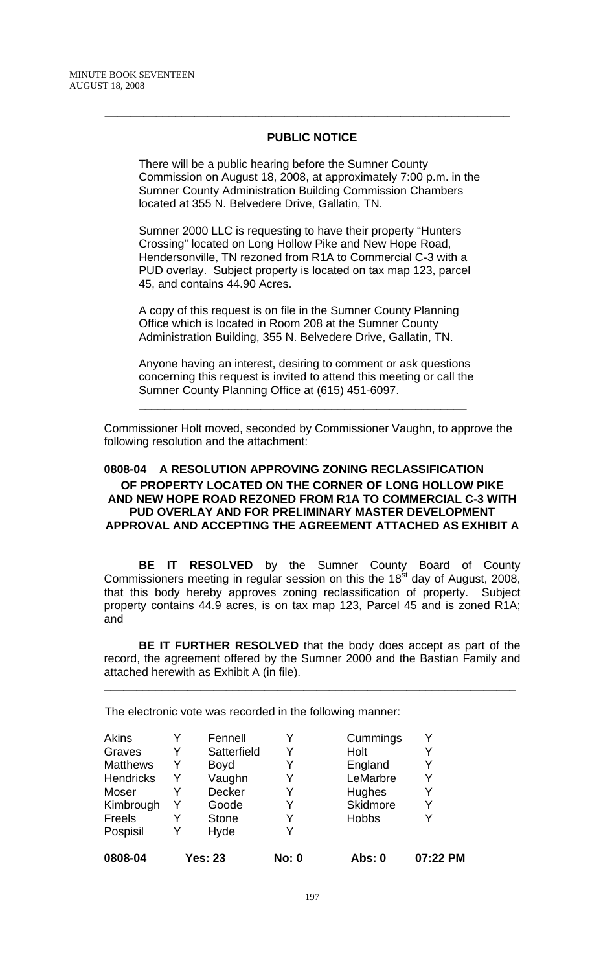## **PUBLIC NOTICE**

\_\_\_\_\_\_\_\_\_\_\_\_\_\_\_\_\_\_\_\_\_\_\_\_\_\_\_\_\_\_\_\_\_\_\_\_\_\_\_\_\_\_\_\_\_\_\_\_\_\_\_\_\_\_\_\_\_\_\_\_\_\_\_

There will be a public hearing before the Sumner County Commission on August 18, 2008, at approximately 7:00 p.m. in the Sumner County Administration Building Commission Chambers located at 355 N. Belvedere Drive, Gallatin, TN.

Sumner 2000 LLC is requesting to have their property "Hunters Crossing" located on Long Hollow Pike and New Hope Road, Hendersonville, TN rezoned from R1A to Commercial C-3 with a PUD overlay. Subject property is located on tax map 123, parcel 45, and contains 44.90 Acres.

A copy of this request is on file in the Sumner County Planning Office which is located in Room 208 at the Sumner County Administration Building, 355 N. Belvedere Drive, Gallatin, TN.

Anyone having an interest, desiring to comment or ask questions concerning this request is invited to attend this meeting or call the Sumner County Planning Office at (615) 451-6097.

\_\_\_\_\_\_\_\_\_\_\_\_\_\_\_\_\_\_\_\_\_\_\_\_\_\_\_\_\_\_\_\_\_\_\_\_\_\_\_\_\_\_\_\_\_\_\_\_\_\_\_

Commissioner Holt moved, seconded by Commissioner Vaughn, to approve the following resolution and the attachment:

## **0808-04 A RESOLUTION APPROVING ZONING RECLASSIFICATION OF PROPERTY LOCATED ON THE CORNER OF LONG HOLLOW PIKE AND NEW HOPE ROAD REZONED FROM R1A TO COMMERCIAL C-3 WITH PUD OVERLAY AND FOR PRELIMINARY MASTER DEVELOPMENT APPROVAL AND ACCEPTING THE AGREEMENT ATTACHED AS EXHIBIT A**

 **BE IT RESOLVED** by the Sumner County Board of County Commissioners meeting in regular session on this the 18<sup>st</sup> day of August, 2008, that this body hereby approves zoning reclassification of property. Subject property contains 44.9 acres, is on tax map 123, Parcel 45 and is zoned R1A; and

**BE IT FURTHER RESOLVED** that the body does accept as part of the record, the agreement offered by the Sumner 2000 and the Bastian Family and attached herewith as Exhibit A (in file).

\_\_\_\_\_\_\_\_\_\_\_\_\_\_\_\_\_\_\_\_\_\_\_\_\_\_\_\_\_\_\_\_\_\_\_\_\_\_\_\_\_\_\_\_\_\_\_\_\_\_\_\_\_\_\_\_\_\_\_\_\_\_\_\_

The electronic vote was recorded in the following manner:

| 0808-04          |   | <b>Yes: 23</b> | <b>No: 0</b> | <b>Abs: 0</b> | 07:22 PM |
|------------------|---|----------------|--------------|---------------|----------|
| Pospisil         |   | Hyde           | Y            |               |          |
| Freels           | Y | <b>Stone</b>   | Y            | <b>Hobbs</b>  |          |
| Kimbrough        |   | Goode          | Y            | Skidmore      |          |
| Moser            |   | Decker         | Y            | Hughes        |          |
| <b>Hendricks</b> | Y | Vaughn         | Y            | LeMarbre      |          |
| <b>Matthews</b>  | Y | <b>Boyd</b>    | Y            | England       |          |
| Graves           | Y | Satterfield    | Y            | Holt          |          |
| Akins            |   | Fennell        |              | Cummings      |          |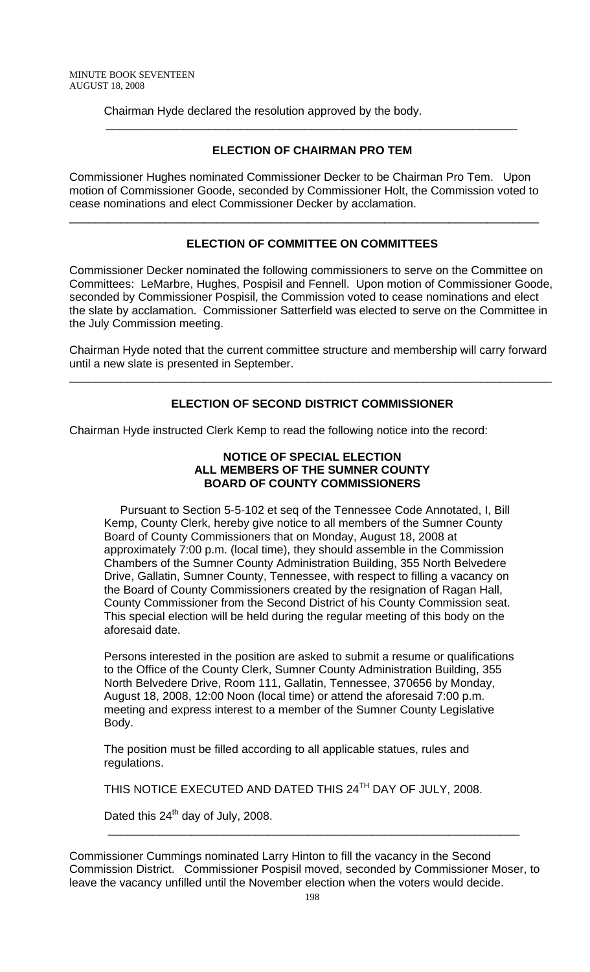Chairman Hyde declared the resolution approved by the body.

# **ELECTION OF CHAIRMAN PRO TEM**

\_\_\_\_\_\_\_\_\_\_\_\_\_\_\_\_\_\_\_\_\_\_\_\_\_\_\_\_\_\_\_\_\_\_\_\_\_\_\_\_\_\_\_\_\_\_\_\_\_\_\_\_\_\_\_\_\_\_\_\_\_\_\_\_

Commissioner Hughes nominated Commissioner Decker to be Chairman Pro Tem. Upon motion of Commissioner Goode, seconded by Commissioner Holt, the Commission voted to cease nominations and elect Commissioner Decker by acclamation.

\_\_\_\_\_\_\_\_\_\_\_\_\_\_\_\_\_\_\_\_\_\_\_\_\_\_\_\_\_\_\_\_\_\_\_\_\_\_\_\_\_\_\_\_\_\_\_\_\_\_\_\_\_\_\_\_\_\_\_\_\_\_\_\_\_\_\_\_\_\_\_\_\_

# **ELECTION OF COMMITTEE ON COMMITTEES**

Commissioner Decker nominated the following commissioners to serve on the Committee on Committees: LeMarbre, Hughes, Pospisil and Fennell. Upon motion of Commissioner Goode, seconded by Commissioner Pospisil, the Commission voted to cease nominations and elect the slate by acclamation. Commissioner Satterfield was elected to serve on the Committee in the July Commission meeting.

Chairman Hyde noted that the current committee structure and membership will carry forward until a new slate is presented in September.

\_\_\_\_\_\_\_\_\_\_\_\_\_\_\_\_\_\_\_\_\_\_\_\_\_\_\_\_\_\_\_\_\_\_\_\_\_\_\_\_\_\_\_\_\_\_\_\_\_\_\_\_\_\_\_\_\_\_\_\_\_\_\_\_\_\_\_\_\_\_\_\_\_\_\_

# **ELECTION OF SECOND DISTRICT COMMISSIONER**

Chairman Hyde instructed Clerk Kemp to read the following notice into the record:

## **NOTICE OF SPECIAL ELECTION ALL MEMBERS OF THE SUMNER COUNTY BOARD OF COUNTY COMMISSIONERS**

Pursuant to Section 5-5-102 et seq of the Tennessee Code Annotated, I, Bill Kemp, County Clerk, hereby give notice to all members of the Sumner County Board of County Commissioners that on Monday, August 18, 2008 at approximately 7:00 p.m. (local time), they should assemble in the Commission Chambers of the Sumner County Administration Building, 355 North Belvedere Drive, Gallatin, Sumner County, Tennessee, with respect to filling a vacancy on the Board of County Commissioners created by the resignation of Ragan Hall, County Commissioner from the Second District of his County Commission seat. This special election will be held during the regular meeting of this body on the aforesaid date.

Persons interested in the position are asked to submit a resume or qualifications to the Office of the County Clerk, Sumner County Administration Building, 355 North Belvedere Drive, Room 111, Gallatin, Tennessee, 370656 by Monday, August 18, 2008, 12:00 Noon (local time) or attend the aforesaid 7:00 p.m. meeting and express interest to a member of the Sumner County Legislative Body.

The position must be filled according to all applicable statues, rules and regulations.

THIS NOTICE EXECUTED AND DATED THIS 24<sup>TH</sup> DAY OF JULY, 2008.

\_\_\_\_\_\_\_\_\_\_\_\_\_\_\_\_\_\_\_\_\_\_\_\_\_\_\_\_\_\_\_\_\_\_\_\_\_\_\_\_\_\_\_\_\_\_\_\_\_\_\_\_\_\_\_\_\_\_\_\_\_\_\_\_

Dated this  $24<sup>th</sup>$  day of July, 2008.

Commissioner Cummings nominated Larry Hinton to fill the vacancy in the Second Commission District. Commissioner Pospisil moved, seconded by Commissioner Moser, to leave the vacancy unfilled until the November election when the voters would decide.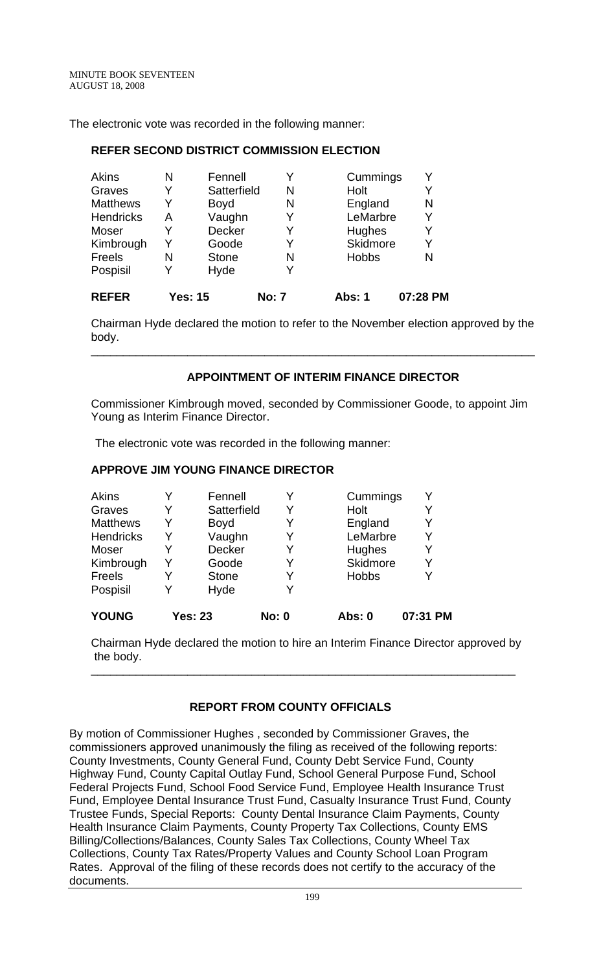The electronic vote was recorded in the following manner:

## **REFER SECOND DISTRICT COMMISSION ELECTION**

| <b>Matthews</b><br><b>Hendricks</b> | Y<br>А | <b>Boyd</b><br>Vaughn | N<br>Y       | England<br>LeMarbre | N<br>Y   |
|-------------------------------------|--------|-----------------------|--------------|---------------------|----------|
| Moser                               |        | Decker                | Y            | Hughes              | Y        |
| Kimbrough                           | Y      | Goode                 | Y            | Skidmore            | Y        |
| Freels                              | N      | <b>Stone</b>          | N            | <b>Hobbs</b>        | N        |
| Pospisil                            |        | Hyde                  |              |                     |          |
| <b>REFER</b>                        |        | <b>Yes: 15</b>        | <b>No: 7</b> | Abs: 1              | 07:28 PM |

Chairman Hyde declared the motion to refer to the November election approved by the body.

\_\_\_\_\_\_\_\_\_\_\_\_\_\_\_\_\_\_\_\_\_\_\_\_\_\_\_\_\_\_\_\_\_\_\_\_\_\_\_\_\_\_\_\_\_\_\_\_\_\_\_\_\_\_\_\_\_\_\_\_\_\_\_\_\_\_\_\_\_

## **APPOINTMENT OF INTERIM FINANCE DIRECTOR**

Commissioner Kimbrough moved, seconded by Commissioner Goode, to appoint Jim Young as Interim Finance Director.

The electronic vote was recorded in the following manner:

## **APPROVE JIM YOUNG FINANCE DIRECTOR**

| <b>YOUNG</b>     |   | <b>Yes: 23</b> | <b>No: 0</b> | Abs: 0       | 07:31 PM |
|------------------|---|----------------|--------------|--------------|----------|
| Pospisil         |   | Hyde           |              |              |          |
| Freels           | Y | <b>Stone</b>   |              | <b>Hobbs</b> | Y        |
| Kimbrough        | Y | Goode          |              | Skidmore     | Y        |
| Moser            | Y | Decker         |              | Hughes       | Y        |
| <b>Hendricks</b> | Y | Vaughn         | Y            | LeMarbre     | Y        |
| <b>Matthews</b>  | Y | <b>Boyd</b>    |              | England      | Y        |
| Graves           | Y | Satterfield    | Y            | Holt         | Y        |
| <b>Akins</b>     | Y | Fennell        |              | Cummings     | Y        |

Chairman Hyde declared the motion to hire an Interim Finance Director approved by the body.

\_\_\_\_\_\_\_\_\_\_\_\_\_\_\_\_\_\_\_\_\_\_\_\_\_\_\_\_\_\_\_\_\_\_\_\_\_\_\_\_\_\_\_\_\_\_\_\_\_\_\_\_\_\_\_\_\_\_\_\_\_\_\_\_\_\_

# **REPORT FROM COUNTY OFFICIALS**

By motion of Commissioner Hughes , seconded by Commissioner Graves, the commissioners approved unanimously the filing as received of the following reports: County Investments, County General Fund, County Debt Service Fund, County Highway Fund, County Capital Outlay Fund, School General Purpose Fund, School Federal Projects Fund, School Food Service Fund, Employee Health Insurance Trust Fund, Employee Dental Insurance Trust Fund, Casualty Insurance Trust Fund, County Trustee Funds, Special Reports: County Dental Insurance Claim Payments, County Health Insurance Claim Payments, County Property Tax Collections, County EMS Billing/Collections/Balances, County Sales Tax Collections, County Wheel Tax Collections, County Tax Rates/Property Values and County School Loan Program Rates. Approval of the filing of these records does not certify to the accuracy of the documents.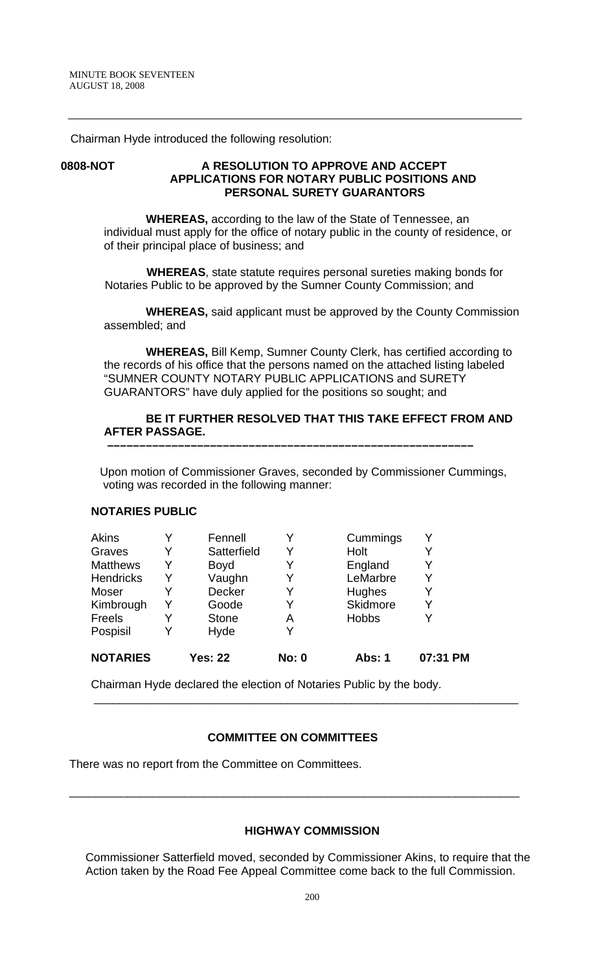Chairman Hyde introduced the following resolution:

## **0808-NOT A RESOLUTION TO APPROVE AND ACCEPT APPLICATIONS FOR NOTARY PUBLIC POSITIONS AND PERSONAL SURETY GUARANTORS**

 **WHEREAS,** according to the law of the State of Tennessee, an individual must apply for the office of notary public in the county of residence, or of their principal place of business; and

 **WHEREAS**, state statute requires personal sureties making bonds for Notaries Public to be approved by the Sumner County Commission; and

 **WHEREAS,** said applicant must be approved by the County Commission assembled; and

 **WHEREAS,** Bill Kemp, Sumner County Clerk, has certified according to the records of his office that the persons named on the attached listing labeled "SUMNER COUNTY NOTARY PUBLIC APPLICATIONS and SURETY GUARANTORS" have duly applied for the positions so sought; and

## **BE IT FURTHER RESOLVED THAT THIS TAKE EFFECT FROM AND AFTER PASSAGE.**

Upon motion of Commissioner Graves, seconded by Commissioner Cummings, voting was recorded in the following manner:

 **–––––––––––––––––––––––––––––––––––––––––––––––––––––––––**

#### **NOTARIES PUBLIC**

| Akins            |   | Fennell        |              | Cummings      | Y        |
|------------------|---|----------------|--------------|---------------|----------|
| Graves           | Y | Satterfield    | Y            | Holt          | Y        |
| <b>Matthews</b>  | Y | <b>Boyd</b>    |              | England       | Y        |
| <b>Hendricks</b> |   | Vaughn         | Y            | LeMarbre      | Y        |
| Moser            | Y | Decker         | Y            | Hughes        | Y        |
| Kimbrough        | Y | Goode          |              | Skidmore      | Y        |
| Freels           |   | <b>Stone</b>   | Α            | Hobbs         | Y        |
| Pospisil         |   | Hyde           | Y            |               |          |
| <b>NOTARIES</b>  |   | <b>Yes: 22</b> | <b>No: 0</b> | <b>Abs: 1</b> | 07:31 PM |

Chairman Hyde declared the election of Notaries Public by the body.

### **COMMITTEE ON COMMITTEES**

\_\_\_\_\_\_\_\_\_\_\_\_\_\_\_\_\_\_\_\_\_\_\_\_\_\_\_\_\_\_\_\_\_\_\_\_\_\_\_\_\_\_\_\_\_\_\_\_\_\_\_\_\_\_\_\_\_\_\_\_\_\_\_\_\_\_\_\_\_\_

 $\frac{1}{\sqrt{2}}$  ,  $\frac{1}{\sqrt{2}}$  ,  $\frac{1}{\sqrt{2}}$  ,  $\frac{1}{\sqrt{2}}$  ,  $\frac{1}{\sqrt{2}}$  ,  $\frac{1}{\sqrt{2}}$  ,  $\frac{1}{\sqrt{2}}$  ,  $\frac{1}{\sqrt{2}}$  ,  $\frac{1}{\sqrt{2}}$  ,  $\frac{1}{\sqrt{2}}$  ,  $\frac{1}{\sqrt{2}}$  ,  $\frac{1}{\sqrt{2}}$  ,  $\frac{1}{\sqrt{2}}$  ,  $\frac{1}{\sqrt{2}}$  ,  $\frac{1}{\sqrt{2}}$ 

There was no report from the Committee on Committees.

#### **HIGHWAY COMMISSION**

 Commissioner Satterfield moved, seconded by Commissioner Akins, to require that the Action taken by the Road Fee Appeal Committee come back to the full Commission.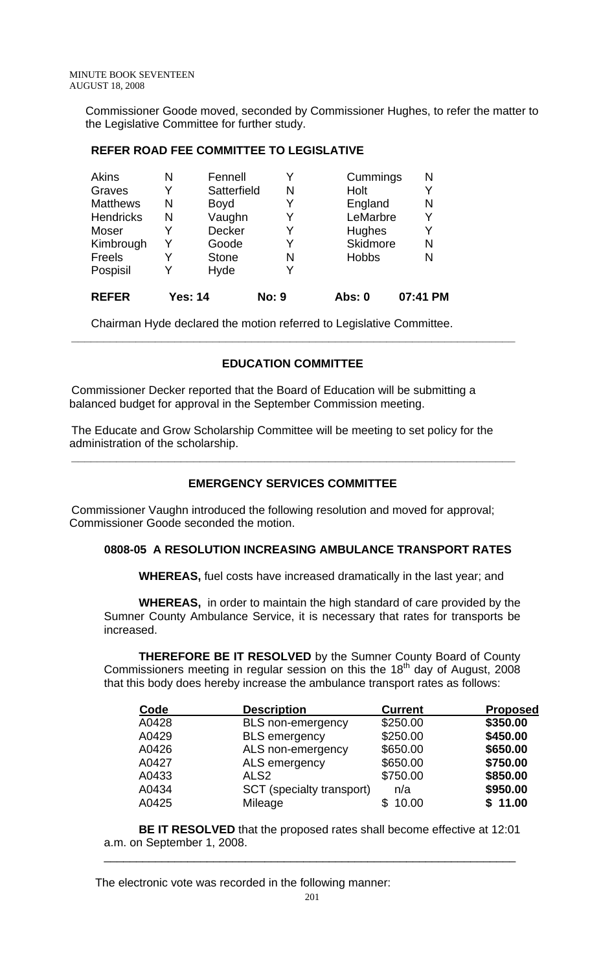Commissioner Goode moved, seconded by Commissioner Hughes, to refer the matter to the Legislative Committee for further study.

## **REFER ROAD FEE COMMITTEE TO LEGISLATIVE**

| <b>Akins</b>     | N              | Fennell      |              | Cummings     | N        |
|------------------|----------------|--------------|--------------|--------------|----------|
| Graves           | Y              | Satterfield  | N            | Holt         | Y        |
| <b>Matthews</b>  | N              | <b>Boyd</b>  | Y            | England      | N        |
| <b>Hendricks</b> | N              | Vaughn       | Y            | LeMarbre     | Y        |
| Moser            | Y              | Decker       | Y            | Hughes       | Y        |
| Kimbrough        | Y              | Goode        | Y            | Skidmore     | N        |
| <b>Freels</b>    | Y              | <b>Stone</b> | N            | <b>Hobbs</b> | N        |
| Pospisil         | Y              | Hyde         |              |              |          |
| <b>REFER</b>     | <b>Yes: 14</b> |              | <b>No: 9</b> | Abs: 0       | 07:41 PM |

Chairman Hyde declared the motion referred to Legislative Committee.

## **EDUCATION COMMITTEE**

 **\_\_\_\_\_\_\_\_\_\_\_\_\_\_\_\_\_\_\_\_\_\_\_\_\_\_\_\_\_\_\_\_\_\_\_\_\_\_\_\_\_\_\_\_\_\_\_\_\_\_\_\_\_\_\_\_\_\_\_\_\_\_\_\_\_\_\_\_\_** 

 Commissioner Decker reported that the Board of Education will be submitting a balanced budget for approval in the September Commission meeting.

 The Educate and Grow Scholarship Committee will be meeting to set policy for the administration of the scholarship.

## **EMERGENCY SERVICES COMMITTEE**

 **\_\_\_\_\_\_\_\_\_\_\_\_\_\_\_\_\_\_\_\_\_\_\_\_\_\_\_\_\_\_\_\_\_\_\_\_\_\_\_\_\_\_\_\_\_\_\_\_\_\_\_\_\_\_\_\_\_\_\_\_\_\_\_\_\_\_\_\_\_** 

 Commissioner Vaughn introduced the following resolution and moved for approval; Commissioner Goode seconded the motion.

# **0808-05 A RESOLUTION INCREASING AMBULANCE TRANSPORT RATES**

 **WHEREAS,** fuel costs have increased dramatically in the last year; and

**WHEREAS,** in order to maintain the high standard of care provided by the Sumner County Ambulance Service, it is necessary that rates for transports be increased.

**THEREFORE BE IT RESOLVED** by the Sumner County Board of County Commissioners meeting in regular session on this the  $18<sup>th</sup>$  day of August, 2008 that this body does hereby increase the ambulance transport rates as follows:

| Code  | <b>Description</b>        | <b>Current</b> | <b>Proposed</b> |
|-------|---------------------------|----------------|-----------------|
| A0428 | <b>BLS</b> non-emergency  | \$250.00       | \$350.00        |
| A0429 | <b>BLS</b> emergency      | \$250.00       | \$450.00        |
| A0426 | ALS non-emergency         | \$650.00       | \$650.00        |
| A0427 | ALS emergency             | \$650.00       | \$750.00        |
| A0433 | ALS <sub>2</sub>          | \$750.00       | \$850.00        |
| A0434 | SCT (specialty transport) | n/a            | \$950.00        |
| A0425 | Mileage                   | 10.00          | \$11.00         |
|       |                           |                |                 |

 **BE IT RESOLVED** that the proposed rates shall become effective at 12:01 a.m. on September 1, 2008.

\_\_\_\_\_\_\_\_\_\_\_\_\_\_\_\_\_\_\_\_\_\_\_\_\_\_\_\_\_\_\_\_\_\_\_\_\_\_\_\_\_\_\_\_\_\_\_\_\_\_\_\_\_\_\_\_\_\_\_\_\_\_\_\_

The electronic vote was recorded in the following manner: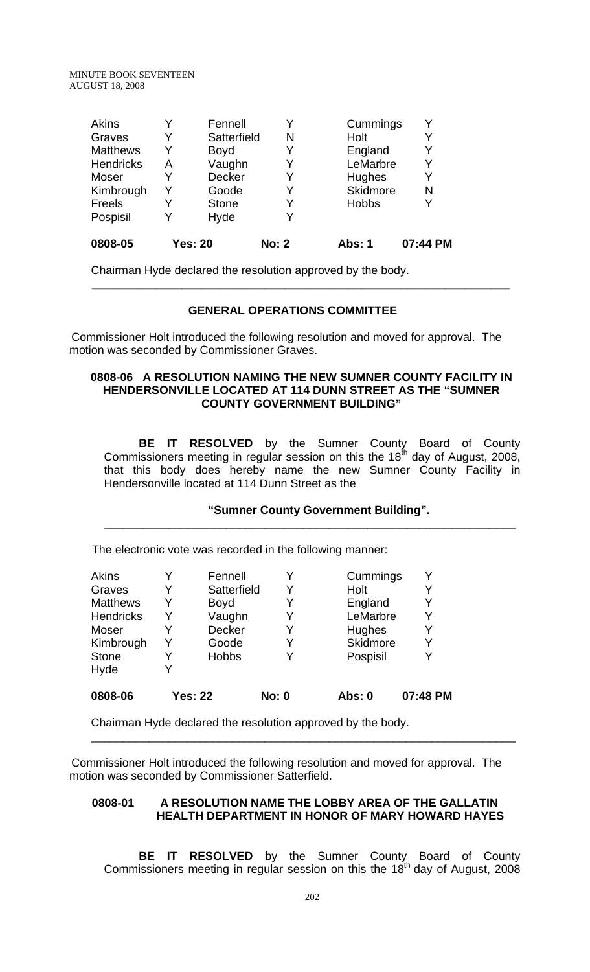MINUTE BOOK SEVENTEEN AUGUST 18, 2008

| <b>Akins</b>     |   | Fennell        |              | Cummings        | Y        |
|------------------|---|----------------|--------------|-----------------|----------|
| Graves           | Y | Satterfield    | N            | Holt            | Y        |
| <b>Matthews</b>  | Y | <b>Boyd</b>    |              | England         | Y        |
| <b>Hendricks</b> | Α | Vaughn         |              | LeMarbre        | Y        |
| Moser            |   | <b>Decker</b>  |              | Hughes          | Y        |
| Kimbrough        | Y | Goode          |              | <b>Skidmore</b> | N        |
| Freels           | Y | <b>Stone</b>   | Y            | <b>Hobbs</b>    | Y        |
| Pospisil         |   | Hyde           |              |                 |          |
| 0808-05          |   | <b>Yes: 20</b> | <b>No: 2</b> | Abs: 1          | 07:44 PM |

Chairman Hyde declared the resolution approved by the body.

### **GENERAL OPERATIONS COMMITTEE**

 **\_\_\_\_\_\_\_\_\_\_\_\_\_\_\_\_\_\_\_\_\_\_\_\_\_\_\_\_\_\_\_\_\_\_\_\_\_\_\_\_\_\_\_\_\_\_\_\_\_\_\_\_\_\_\_\_\_\_\_\_\_\_\_\_\_** 

 Commissioner Holt introduced the following resolution and moved for approval. The motion was seconded by Commissioner Graves.

## **0808-06 A RESOLUTION NAMING THE NEW SUMNER COUNTY FACILITY IN HENDERSONVILLE LOCATED AT 114 DUNN STREET AS THE "SUMNER COUNTY GOVERNMENT BUILDING"**

 **BE IT RESOLVED** by the Sumner County Board of County Commissioners meeting in regular session on this the  $18^{th}$  day of August, 2008, that this body does hereby name the new Sumner County Facility in Hendersonville located at 114 Dunn Street as the

## **"Sumner County Government Building".**

\_\_\_\_\_\_\_\_\_\_\_\_\_\_\_\_\_\_\_\_\_\_\_\_\_\_\_\_\_\_\_\_\_\_\_\_\_\_\_\_\_\_\_\_\_\_\_\_\_\_\_\_\_\_\_\_\_\_\_\_\_\_\_\_

The electronic vote was recorded in the following manner:

| <b>Akins</b>     |   | Fennell        |              | Cummings |          |
|------------------|---|----------------|--------------|----------|----------|
| Graves           |   | Satterfield    | Y            | Holt     |          |
| <b>Matthews</b>  | Y | <b>Boyd</b>    | Y            | England  |          |
| <b>Hendricks</b> | Y | Vaughn         | Y            | LeMarbre |          |
| Moser            |   | <b>Decker</b>  | Y            | Hughes   | Y        |
| Kimbrough        | Y | Goode          | Y            | Skidmore |          |
| <b>Stone</b>     |   | <b>Hobbs</b>   | Y            | Pospisil |          |
| Hyde             |   |                |              |          |          |
| 0808-06          |   | <b>Yes: 22</b> | <b>No: 0</b> | Abs: 0   | 07:48 PM |

Chairman Hyde declared the resolution approved by the body.

 Commissioner Holt introduced the following resolution and moved for approval. The motion was seconded by Commissioner Satterfield.

## **0808-01 A RESOLUTION NAME THE LOBBY AREA OF THE GALLATIN HEALTH DEPARTMENT IN HONOR OF MARY HOWARD HAYES**

\_\_\_\_\_\_\_\_\_\_\_\_\_\_\_\_\_\_\_\_\_\_\_\_\_\_\_\_\_\_\_\_\_\_\_\_\_\_\_\_\_\_\_\_\_\_\_\_\_\_\_\_\_\_\_\_\_\_\_\_\_\_\_\_\_\_

 **BE IT RESOLVED** by the Sumner County Board of County Commissioners meeting in regular session on this the  $18<sup>th</sup>$  day of August, 2008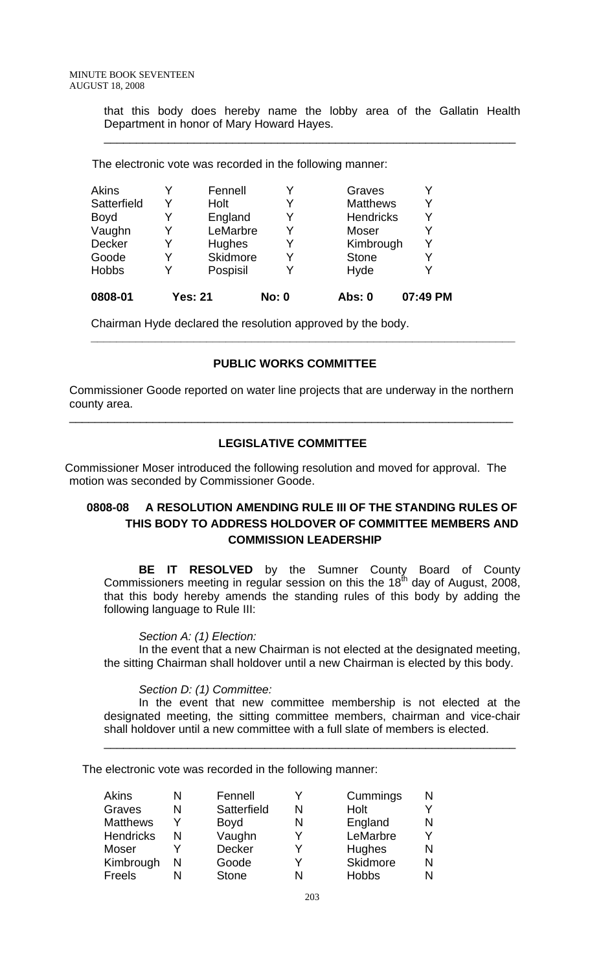that this body does hereby name the lobby area of the Gallatin Health Department in honor of Mary Howard Hayes.

\_\_\_\_\_\_\_\_\_\_\_\_\_\_\_\_\_\_\_\_\_\_\_\_\_\_\_\_\_\_\_\_\_\_\_\_\_\_\_\_\_\_\_\_\_\_\_\_\_\_\_\_\_\_\_\_\_\_\_\_\_\_\_\_

The electronic vote was recorded in the following manner:

| 0808-01      |   | <b>Yes: 21</b> | <b>No: 0</b> | Abs: 0           | 07:49 PM |
|--------------|---|----------------|--------------|------------------|----------|
| <b>Hobbs</b> | Y | Pospisil       |              | Hyde             | Y        |
| Goode        | Y | Skidmore       | Y            | <b>Stone</b>     | Y        |
| Decker       | Y | <b>Hughes</b>  | Y            | Kimbrough        | Y        |
| Vaughn       | Y | LeMarbre       | Y            | Moser            | Y        |
| <b>Boyd</b>  | Y | England        | v            | <b>Hendricks</b> | Y        |
| Satterfield  | v | Holt           |              | <b>Matthews</b>  | Y        |
| Akins        | Y | Fennell        |              | Graves           | Y        |
|              |   |                |              |                  |          |

Chairman Hyde declared the resolution approved by the body.

### **PUBLIC WORKS COMMITTEE**

 **\_\_\_\_\_\_\_\_\_\_\_\_\_\_\_\_\_\_\_\_\_\_\_\_\_\_\_\_\_\_\_\_\_\_\_\_\_\_\_\_\_\_\_\_\_\_\_\_\_\_\_\_\_\_\_\_\_\_\_\_\_\_\_\_\_\_** 

Commissioner Goode reported on water line projects that are underway in the northern county area.

\_\_\_\_\_\_\_\_\_\_\_\_\_\_\_\_\_\_\_\_\_\_\_\_\_\_\_\_\_\_\_\_\_\_\_\_\_\_\_\_\_\_\_\_\_\_\_\_\_\_\_\_\_\_\_\_\_\_\_\_\_\_\_\_\_\_\_\_\_

## **LEGISLATIVE COMMITTEE**

Commissioner Moser introduced the following resolution and moved for approval. The motion was seconded by Commissioner Goode.

# **0808-08 A RESOLUTION AMENDING RULE III OF THE STANDING RULES OF THIS BODY TO ADDRESS HOLDOVER OF COMMITTEE MEMBERS AND COMMISSION LEADERSHIP**

**BE IT RESOLVED** by the Sumner County Board of County Commissioners meeting in regular session on this the 18<sup>th</sup> day of August, 2008, that this body hereby amends the standing rules of this body by adding the following language to Rule III:

#### *Section A: (1) Election:*

In the event that a new Chairman is not elected at the designated meeting, the sitting Chairman shall holdover until a new Chairman is elected by this body.

#### *Section D: (1) Committee:*

In the event that new committee membership is not elected at the designated meeting, the sitting committee members, chairman and vice-chair shall holdover until a new committee with a full slate of members is elected.

\_\_\_\_\_\_\_\_\_\_\_\_\_\_\_\_\_\_\_\_\_\_\_\_\_\_\_\_\_\_\_\_\_\_\_\_\_\_\_\_\_\_\_\_\_\_\_\_\_\_\_\_\_\_\_\_\_\_\_\_\_\_\_\_

The electronic vote was recorded in the following manner:

| <b>Akins</b>     | N | Fennell       |   | Cummings     |   |
|------------------|---|---------------|---|--------------|---|
| Graves           | N | Satterfield   | N | Holt         |   |
| <b>Matthews</b>  |   | <b>Boyd</b>   | N | England      |   |
| <b>Hendricks</b> | N | Vaughn        |   | LeMarbre     |   |
| Moser            |   | <b>Decker</b> |   | Hughes       | N |
| Kimbrough        | N | Goode         |   | Skidmore     | N |
| <b>Freels</b>    | N | <b>Stone</b>  |   | <b>Hobbs</b> |   |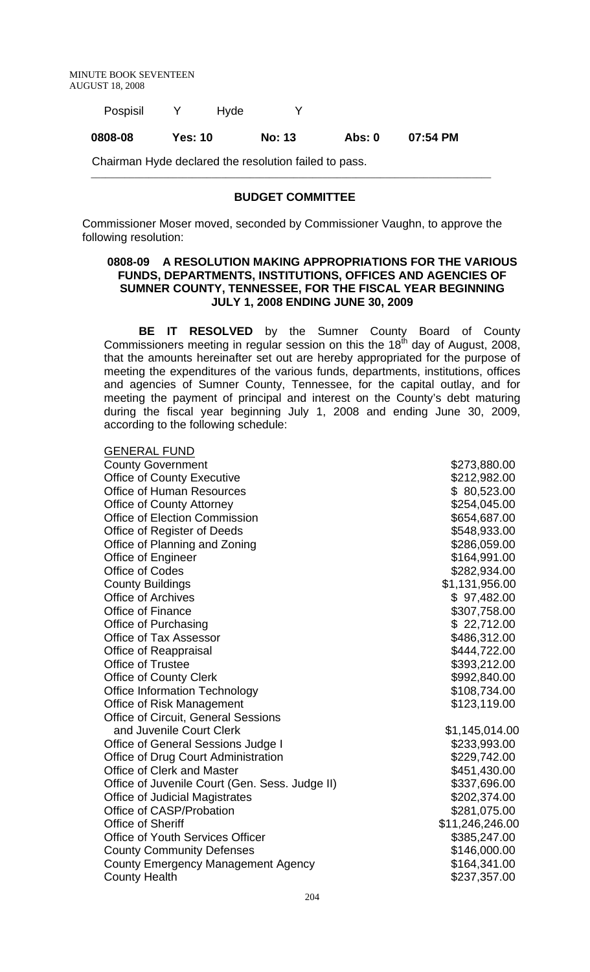| 0808-08  | <b>Yes: 10</b> |      | <b>No: 13</b> | Abs: 0 | 07:54 PM |
|----------|----------------|------|---------------|--------|----------|
| Pospisil |                | Hyde |               |        |          |

Chairman Hyde declared the resolution failed to pass.

#### **BUDGET COMMITTEE**

\_\_\_\_\_\_\_\_\_\_\_\_\_\_\_\_\_\_\_\_\_\_\_\_\_\_\_\_\_\_\_\_\_\_\_\_\_\_\_\_\_\_\_\_\_\_\_\_\_\_\_\_\_\_\_\_\_\_\_\_\_\_\_\_\_\_\_\_\_\_\_\_\_\_\_\_\_\_\_\_\_\_\_

Commissioner Moser moved, seconded by Commissioner Vaughn, to approve the following resolution:

## **0808-09 A RESOLUTION MAKING APPROPRIATIONS FOR THE VARIOUS FUNDS, DEPARTMENTS, INSTITUTIONS, OFFICES AND AGENCIES OF SUMNER COUNTY, TENNESSEE, FOR THE FISCAL YEAR BEGINNING JULY 1, 2008 ENDING JUNE 30, 2009**

**BE IT RESOLVED** by the Sumner County Board of County Commissioners meeting in regular session on this the 18<sup>th</sup> day of August, 2008, that the amounts hereinafter set out are hereby appropriated for the purpose of meeting the expenditures of the various funds, departments, institutions, offices and agencies of Sumner County, Tennessee, for the capital outlay, and for meeting the payment of principal and interest on the County's debt maturing during the fiscal year beginning July 1, 2008 and ending June 30, 2009, according to the following schedule:

| <b>GENERAL FUND</b>                            |                 |
|------------------------------------------------|-----------------|
| <b>County Government</b>                       | \$273,880.00    |
| <b>Office of County Executive</b>              | \$212,982.00    |
| <b>Office of Human Resources</b>               | \$80,523.00     |
| <b>Office of County Attorney</b>               | \$254,045.00    |
| <b>Office of Election Commission</b>           | \$654,687.00    |
| Office of Register of Deeds                    | \$548,933.00    |
| Office of Planning and Zoning                  | \$286,059.00    |
| Office of Engineer                             | \$164,991.00    |
| <b>Office of Codes</b>                         | \$282,934.00    |
| <b>County Buildings</b>                        | \$1,131,956.00  |
| <b>Office of Archives</b>                      | \$97,482.00     |
| <b>Office of Finance</b>                       | \$307,758.00    |
| Office of Purchasing                           | \$22,712.00     |
| <b>Office of Tax Assessor</b>                  | \$486,312.00    |
| <b>Office of Reappraisal</b>                   | \$444,722.00    |
| <b>Office of Trustee</b>                       | \$393,212.00    |
| <b>Office of County Clerk</b>                  | \$992,840.00    |
| <b>Office Information Technology</b>           | \$108,734.00    |
| Office of Risk Management                      | \$123,119.00    |
| <b>Office of Circuit, General Sessions</b>     |                 |
| and Juvenile Court Clerk                       | \$1,145,014.00  |
| Office of General Sessions Judge I             | \$233,993.00    |
| Office of Drug Court Administration            | \$229,742.00    |
| Office of Clerk and Master                     | \$451,430.00    |
| Office of Juvenile Court (Gen. Sess. Judge II) | \$337,696.00    |
| <b>Office of Judicial Magistrates</b>          | \$202,374.00    |
| Office of CASP/Probation                       | \$281,075.00    |
| <b>Office of Sheriff</b>                       | \$11,246,246.00 |
| <b>Office of Youth Services Officer</b>        | \$385,247.00    |
| <b>County Community Defenses</b>               | \$146,000.00    |
| <b>County Emergency Management Agency</b>      | \$164,341.00    |
| <b>County Health</b>                           | \$237,357.00    |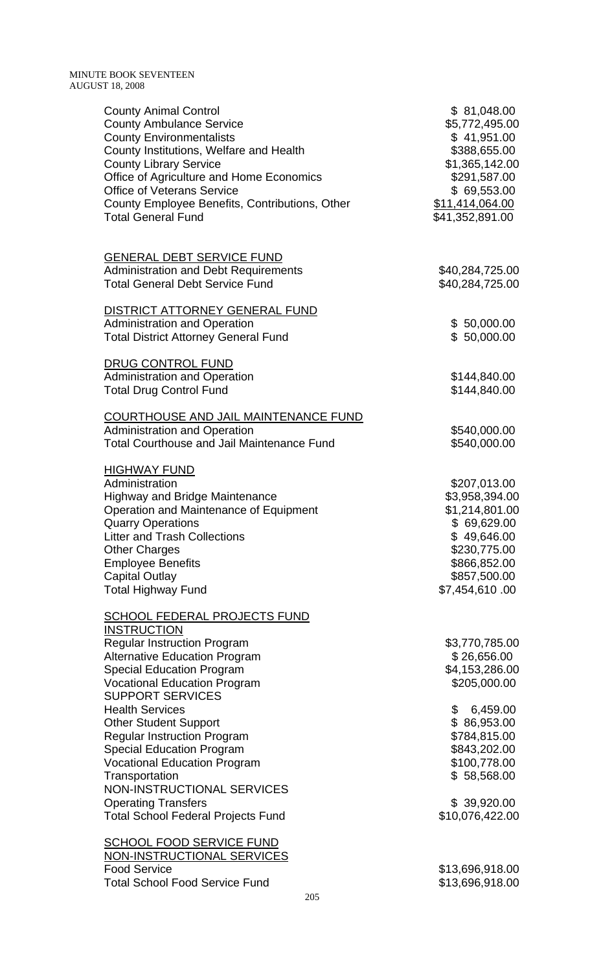| <b>County Animal Control</b><br><b>County Ambulance Service</b><br><b>County Environmentalists</b><br>County Institutions, Welfare and Health<br><b>County Library Service</b><br>Office of Agriculture and Home Economics<br><b>Office of Veterans Service</b><br>County Employee Benefits, Contributions, Other<br><b>Total General Fund</b> | \$81,048.00<br>\$5,772,495.00<br>\$41,951.00<br>\$388,655.00<br>\$1,365,142.00<br>\$291,587.00<br>\$69,553.00<br>\$11,414,064.00<br>\$41,352,891.00 |
|------------------------------------------------------------------------------------------------------------------------------------------------------------------------------------------------------------------------------------------------------------------------------------------------------------------------------------------------|-----------------------------------------------------------------------------------------------------------------------------------------------------|
| <b>GENERAL DEBT SERVICE FUND</b><br><b>Administration and Debt Requirements</b><br><b>Total General Debt Service Fund</b>                                                                                                                                                                                                                      | \$40,284,725.00<br>\$40,284,725.00                                                                                                                  |
| DISTRICT ATTORNEY GENERAL FUND<br><b>Administration and Operation</b><br><b>Total District Attorney General Fund</b>                                                                                                                                                                                                                           | \$50,000.00<br>\$50,000.00                                                                                                                          |
| DRUG CONTROL FUND<br><b>Administration and Operation</b><br><b>Total Drug Control Fund</b>                                                                                                                                                                                                                                                     | \$144,840.00<br>\$144,840.00                                                                                                                        |
| COURTHOUSE AND JAIL MAINTENANCE FUND<br><b>Administration and Operation</b><br><b>Total Courthouse and Jail Maintenance Fund</b>                                                                                                                                                                                                               | \$540,000.00<br>\$540,000.00                                                                                                                        |
| <b>HIGHWAY FUND</b><br>Administration<br><b>Highway and Bridge Maintenance</b><br>Operation and Maintenance of Equipment<br><b>Quarry Operations</b><br><b>Litter and Trash Collections</b><br><b>Other Charges</b><br><b>Employee Benefits</b><br><b>Capital Outlay</b><br><b>Total Highway Fund</b>                                          | \$207,013.00<br>\$3,958,394.00<br>\$1,214,801.00<br>\$69,629.00<br>\$49,646.00<br>\$230,775.00<br>\$866,852.00<br>\$857,500.00<br>\$7,454,610.00    |
| <b>SCHOOL FEDERAL PROJECTS FUND</b><br><b>INSTRUCTION</b><br><b>Regular Instruction Program</b><br><b>Alternative Education Program</b><br><b>Special Education Program</b><br><b>Vocational Education Program</b><br><b>SUPPORT SERVICES</b>                                                                                                  | \$3,770,785.00<br>\$26,656.00<br>\$4,153,286.00<br>\$205,000.00                                                                                     |
| <b>Health Services</b><br><b>Other Student Support</b><br><b>Regular Instruction Program</b><br><b>Special Education Program</b><br><b>Vocational Education Program</b><br>Transportation                                                                                                                                                      | \$<br>6,459.00<br>\$86,953.00<br>\$784,815.00<br>\$843,202.00<br>\$100,778.00<br>\$58,568.00                                                        |
| <b>NON-INSTRUCTIONAL SERVICES</b><br><b>Operating Transfers</b><br><b>Total School Federal Projects Fund</b>                                                                                                                                                                                                                                   | \$39,920.00<br>\$10,076,422.00                                                                                                                      |
| <b>SCHOOL FOOD SERVICE FUND</b><br>NON-INSTRUCTIONAL SERVICES<br><b>Food Service</b><br><b>Total School Food Service Fund</b><br>205                                                                                                                                                                                                           | \$13,696,918.00<br>\$13,696,918.00                                                                                                                  |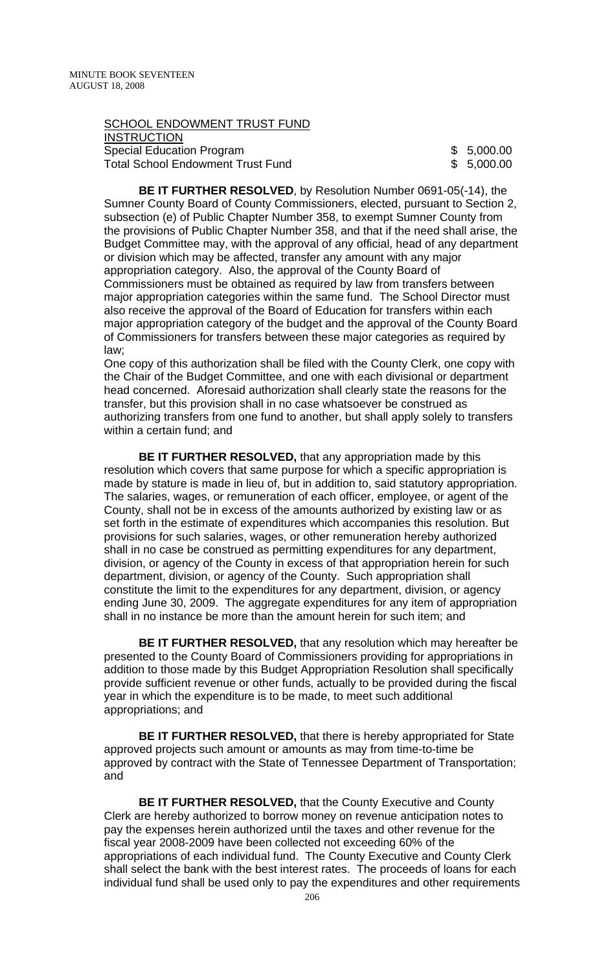SCHOOL ENDOWMENT TRUST FUND **INSTRUCTION** Special Education Program<br>
Total School Endowment Trust Fund<br>
\$ 5,000.00 Total School Endowment Trust Fund

**BE IT FURTHER RESOLVED**, by Resolution Number 0691-05(-14), the Sumner County Board of County Commissioners, elected, pursuant to Section 2, subsection (e) of Public Chapter Number 358, to exempt Sumner County from the provisions of Public Chapter Number 358, and that if the need shall arise, the Budget Committee may, with the approval of any official, head of any department or division which may be affected, transfer any amount with any major appropriation category. Also, the approval of the County Board of Commissioners must be obtained as required by law from transfers between major appropriation categories within the same fund. The School Director must also receive the approval of the Board of Education for transfers within each major appropriation category of the budget and the approval of the County Board of Commissioners for transfers between these major categories as required by law;

One copy of this authorization shall be filed with the County Clerk, one copy with the Chair of the Budget Committee, and one with each divisional or department head concerned. Aforesaid authorization shall clearly state the reasons for the transfer, but this provision shall in no case whatsoever be construed as authorizing transfers from one fund to another, but shall apply solely to transfers within a certain fund; and

**BE IT FURTHER RESOLVED,** that any appropriation made by this resolution which covers that same purpose for which a specific appropriation is made by stature is made in lieu of, but in addition to, said statutory appropriation. The salaries, wages, or remuneration of each officer, employee, or agent of the County, shall not be in excess of the amounts authorized by existing law or as set forth in the estimate of expenditures which accompanies this resolution. But provisions for such salaries, wages, or other remuneration hereby authorized shall in no case be construed as permitting expenditures for any department, division, or agency of the County in excess of that appropriation herein for such department, division, or agency of the County. Such appropriation shall constitute the limit to the expenditures for any department, division, or agency ending June 30, 2009. The aggregate expenditures for any item of appropriation shall in no instance be more than the amount herein for such item; and

**BE IT FURTHER RESOLVED,** that any resolution which may hereafter be presented to the County Board of Commissioners providing for appropriations in addition to those made by this Budget Appropriation Resolution shall specifically provide sufficient revenue or other funds, actually to be provided during the fiscal year in which the expenditure is to be made, to meet such additional appropriations; and

**BE IT FURTHER RESOLVED,** that there is hereby appropriated for State approved projects such amount or amounts as may from time-to-time be approved by contract with the State of Tennessee Department of Transportation; and

**BE IT FURTHER RESOLVED,** that the County Executive and County Clerk are hereby authorized to borrow money on revenue anticipation notes to pay the expenses herein authorized until the taxes and other revenue for the fiscal year 2008-2009 have been collected not exceeding 60% of the appropriations of each individual fund. The County Executive and County Clerk shall select the bank with the best interest rates. The proceeds of loans for each individual fund shall be used only to pay the expenditures and other requirements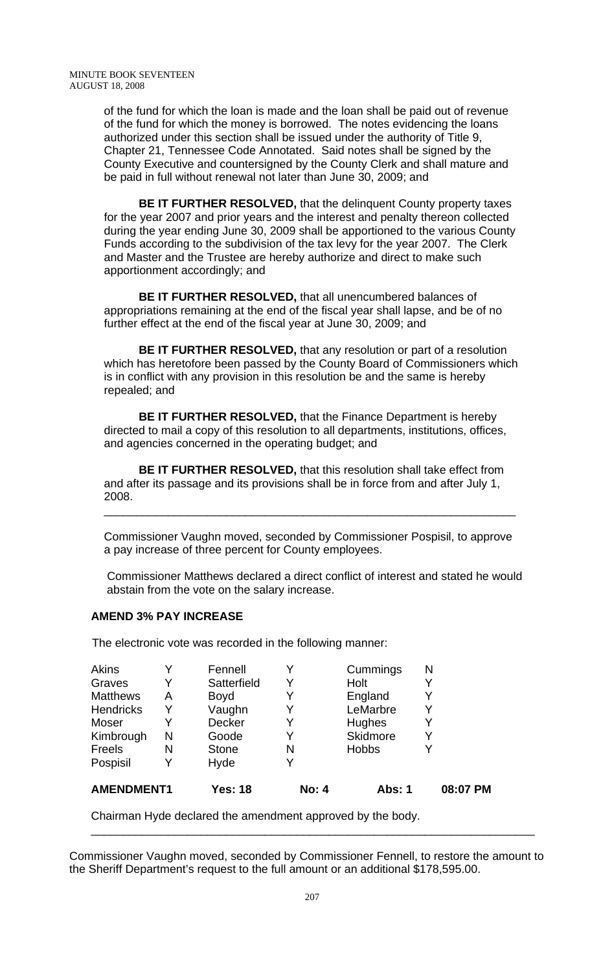of the fund for which the loan is made and the loan shall be paid out of revenue of the fund for which the money is borrowed. The notes evidencing the loans authorized under this section shall be issued under the authority of Title 9, Chapter 21, Tennessee Code Annotated. Said notes shall be signed by the County Executive and countersigned by the County Clerk and shall mature and be paid in full without renewal not later than June 30, 2009; and

**BE IT FURTHER RESOLVED,** that the delinquent County property taxes for the year 2007 and prior years and the interest and penalty thereon collected during the year ending June 30, 2009 shall be apportioned to the various County Funds according to the subdivision of the tax levy for the year 2007. The Clerk and Master and the Trustee are hereby authorize and direct to make such apportionment accordingly; and

**BE IT FURTHER RESOLVED,** that all unencumbered balances of appropriations remaining at the end of the fiscal year shall lapse, and be of no further effect at the end of the fiscal year at June 30, 2009; and

 **BE IT FURTHER RESOLVED,** that any resolution or part of a resolution which has heretofore been passed by the County Board of Commissioners which is in conflict with any provision in this resolution be and the same is hereby repealed; and

**BE IT FURTHER RESOLVED,** that the Finance Department is hereby directed to mail a copy of this resolution to all departments, institutions, offices, and agencies concerned in the operating budget; and

**BE IT FURTHER RESOLVED,** that this resolution shall take effect from and after its passage and its provisions shall be in force from and after July 1, 2008.

Commissioner Vaughn moved, seconded by Commissioner Pospisil, to approve a pay increase of three percent for County employees.

\_\_\_\_\_\_\_\_\_\_\_\_\_\_\_\_\_\_\_\_\_\_\_\_\_\_\_\_\_\_\_\_\_\_\_\_\_\_\_\_\_\_\_\_\_\_\_\_\_\_\_\_\_\_\_\_\_\_\_\_\_\_\_\_

 Commissioner Matthews declared a direct conflict of interest and stated he would abstain from the vote on the salary increase.

### **AMEND 3% PAY INCREASE**

The electronic vote was recorded in the following manner:

| <b>AMENDMENT1</b> |   | <b>Yes: 18</b> | <b>No: 4</b> | <b>Abs: 1</b> | 08:07 PM |
|-------------------|---|----------------|--------------|---------------|----------|
| Pospisil          | Y | Hyde           |              |               |          |
| <b>Freels</b>     | N | <b>Stone</b>   | N            | <b>Hobbs</b>  |          |
| Kimbrough         | N | Goode          | Y            | Skidmore      | Y        |
| Moser             |   | Decker         |              | Hughes        |          |
| <b>Hendricks</b>  | Y | Vaughn         |              | LeMarbre      |          |
| <b>Matthews</b>   | A | <b>Boyd</b>    | Y            | England       |          |
| Graves            | Y | Satterfield    |              | Holt          |          |
| <b>Akins</b>      |   | Fennell        |              | Cummings      | N        |

Chairman Hyde declared the amendment approved by the body.

Commissioner Vaughn moved, seconded by Commissioner Fennell, to restore the amount to the Sheriff Department's request to the full amount or an additional \$178,595.00.

\_\_\_\_\_\_\_\_\_\_\_\_\_\_\_\_\_\_\_\_\_\_\_\_\_\_\_\_\_\_\_\_\_\_\_\_\_\_\_\_\_\_\_\_\_\_\_\_\_\_\_\_\_\_\_\_\_\_\_\_\_\_\_\_\_\_\_\_\_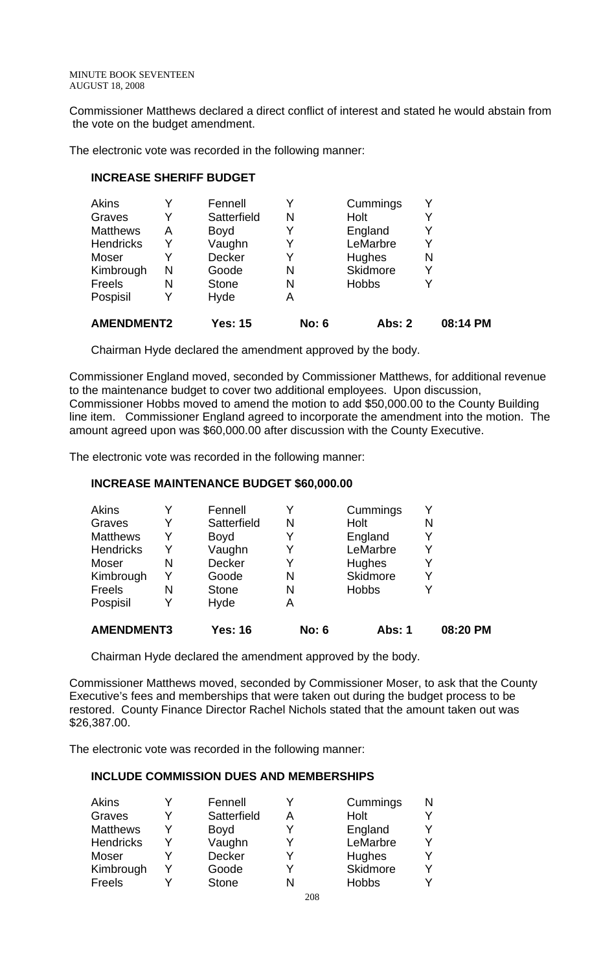Commissioner Matthews declared a direct conflict of interest and stated he would abstain from the vote on the budget amendment.

The electronic vote was recorded in the following manner:

## **INCREASE SHERIFF BUDGET**

| <b>AMENDMENT2</b> |   | <b>Yes: 15</b> | <b>No: 6</b> | Abs: 2          | 08:14 PM |
|-------------------|---|----------------|--------------|-----------------|----------|
| Pospisil          | Y | Hyde           | Α            |                 |          |
| Freels            | N | <b>Stone</b>   | N            | <b>Hobbs</b>    |          |
| Kimbrough         | N | Goode          | N            | <b>Skidmore</b> | Y        |
| Moser             | Y | Decker         |              | Hughes          | N        |
| <b>Hendricks</b>  | Y | Vaughn         |              | LeMarbre        |          |
| <b>Matthews</b>   | Α | <b>Boyd</b>    | Y            | England         | Y        |
| Graves            | Y | Satterfield    | N            | Holt            |          |
| <b>Akins</b>      |   | Fennell        |              | Cummings        |          |

Chairman Hyde declared the amendment approved by the body.

Commissioner England moved, seconded by Commissioner Matthews, for additional revenue to the maintenance budget to cover two additional employees. Upon discussion, Commissioner Hobbs moved to amend the motion to add \$50,000.00 to the County Building line item. Commissioner England agreed to incorporate the amendment into the motion. The amount agreed upon was \$60,000.00 after discussion with the County Executive.

The electronic vote was recorded in the following manner:

## **INCREASE MAINTENANCE BUDGET \$60,000.00**

| <b>Akins</b>      | Y | Fennell      |              | Cummings     |          |
|-------------------|---|--------------|--------------|--------------|----------|
| Graves            | Y | Satterfield  | N            | Holt         | N        |
| <b>Matthews</b>   | Y | <b>Boyd</b>  | Y            | England      |          |
| <b>Hendricks</b>  | Y | Vaughn       |              | LeMarbre     |          |
| Moser             | N | Decker       |              | Hughes       |          |
| Kimbrough         | Y | Goode        | N            | Skidmore     |          |
| Freels            | N | <b>Stone</b> | N            | <b>Hobbs</b> |          |
| Pospisil          | Y | Hyde         | Α            |              |          |
| <b>AMENDMENT3</b> |   | Yes: 16      | <b>No: 6</b> | Abs: 1       | 08:20 PM |

Chairman Hyde declared the amendment approved by the body.

Commissioner Matthews moved, seconded by Commissioner Moser, to ask that the County Executive's fees and memberships that were taken out during the budget process to be restored. County Finance Director Rachel Nichols stated that the amount taken out was \$26,387.00.

The electronic vote was recorded in the following manner:

# **INCLUDE COMMISSION DUES AND MEMBERSHIPS**

| Akins            | Fennell       | Cummings        |  |
|------------------|---------------|-----------------|--|
| Graves           | Satterfield   | Holt            |  |
| <b>Matthews</b>  | <b>Boyd</b>   | England         |  |
| <b>Hendricks</b> | Vaughn        | LeMarbre        |  |
| <b>Moser</b>     | <b>Decker</b> | Hughes          |  |
| Kimbrough        | Goode         | <b>Skidmore</b> |  |
| Freels           | <b>Stone</b>  | <b>Hobbs</b>    |  |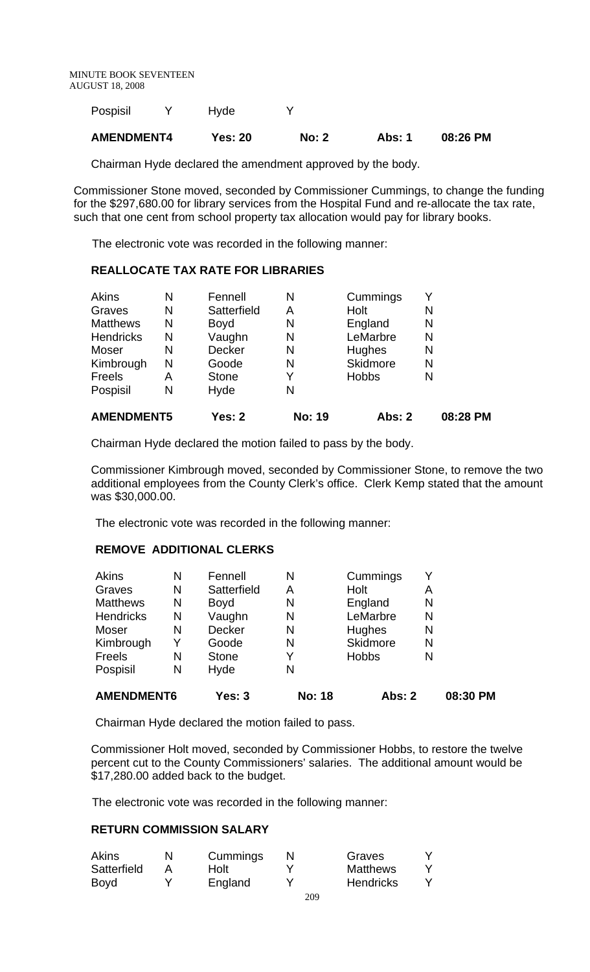MINUTE BOOK SEVENTEEN AUGUST 18, 2008

| <b>AMENDMENT4</b> | <b>Yes: 20</b> | <b>No: 2</b> | Abs: 1 | 08:26 PM |
|-------------------|----------------|--------------|--------|----------|
| Pospisil          | Hyde           |              |        |          |

Chairman Hyde declared the amendment approved by the body.

Commissioner Stone moved, seconded by Commissioner Cummings, to change the funding for the \$297,680.00 for library services from the Hospital Fund and re-allocate the tax rate, such that one cent from school property tax allocation would pay for library books.

The electronic vote was recorded in the following manner:

## **REALLOCATE TAX RATE FOR LIBRARIES**

| <b>AMENDMENT5</b> |   | Yes: 2        | <b>No: 19</b> | Abs: 2       | 08:28 PM |
|-------------------|---|---------------|---------------|--------------|----------|
| Pospisil          | N | Hyde          | N             |              |          |
| Freels            | Α | <b>Stone</b>  | Y             | <b>Hobbs</b> | N        |
| Kimbrough         | N | Goode         | N             | Skidmore     | N        |
| Moser             | N | <b>Decker</b> | N             | Hughes       | N        |
| <b>Hendricks</b>  | N | Vaughn        | N             | LeMarbre     | N        |
| <b>Matthews</b>   | N | <b>Boyd</b>   | N             | England      | N        |
| Graves            | N | Satterfield   | Α             | Holt         | N        |
| <b>Akins</b>      | N | Fennell       | N             | Cummings     |          |

Chairman Hyde declared the motion failed to pass by the body.

Commissioner Kimbrough moved, seconded by Commissioner Stone, to remove the two additional employees from the County Clerk's office. Clerk Kemp stated that the amount was \$30,000.00.

The electronic vote was recorded in the following manner:

## **REMOVE ADDITIONAL CLERKS**

| <b>AMENDMENT6</b> |   | <b>Yes: 3</b> | <b>No: 18</b> | <b>Abs: 2</b> |   | 08:30 PM |
|-------------------|---|---------------|---------------|---------------|---|----------|
| Pospisil          | N | Hyde          | N             |               |   |          |
| Freels            | N | <b>Stone</b>  | Y             | <b>Hobbs</b>  | N |          |
| Kimbrough         | Y | Goode         | N             | Skidmore      | N |          |
| Moser             | N | <b>Decker</b> | N             | Hughes        | N |          |
| <b>Hendricks</b>  | N | Vaughn        | N             | LeMarbre      | N |          |
| <b>Matthews</b>   | N | <b>Boyd</b>   | N             | England       | N |          |
| Graves            | N | Satterfield   | А             | Holt          | Α |          |
| <b>Akins</b>      | N | Fennell       | N             | Cummings      | Y |          |

Chairman Hyde declared the motion failed to pass.

Commissioner Holt moved, seconded by Commissioner Hobbs, to restore the twelve percent cut to the County Commissioners' salaries. The additional amount would be \$17,280.00 added back to the budget.

The electronic vote was recorded in the following manner:

### **RETURN COMMISSION SALARY**

| <b>Akins</b> | N | Cummings | Graves           |  |
|--------------|---|----------|------------------|--|
| Satterfield  |   | Holt     | <b>Matthews</b>  |  |
| Boyd         |   | England  | <b>Hendricks</b> |  |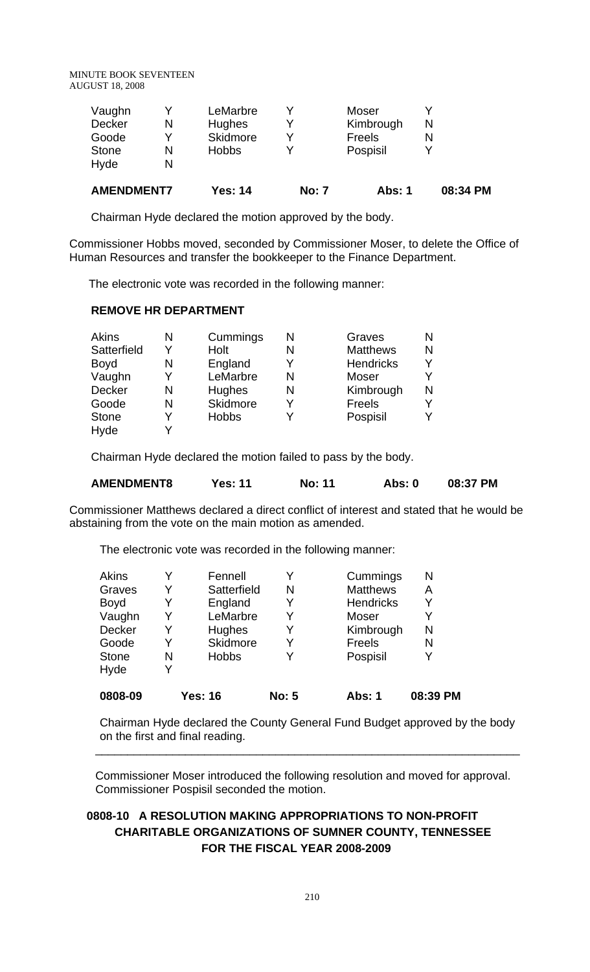MINUTE BOOK SEVENTEEN AUGUST 18, 2008

| <b>AMENDMENT7</b> |   | <b>Yes: 14</b> | <b>No: 7</b> | Abs: 1        | 08:34 PM |
|-------------------|---|----------------|--------------|---------------|----------|
| Hyde              | N |                |              |               |          |
| <b>Stone</b>      | N | <b>Hobbs</b>   |              | Pospisil      |          |
| Goode             | v | Skidmore       |              | <b>Freels</b> |          |
| Decker            | N | <b>Hughes</b>  |              | Kimbrough     | N        |
| Vaughn            |   | LeMarbre       |              | Moser         |          |
|                   |   |                |              |               |          |

Chairman Hyde declared the motion approved by the body.

Commissioner Hobbs moved, seconded by Commissioner Moser, to delete the Office of Human Resources and transfer the bookkeeper to the Finance Department.

The electronic vote was recorded in the following manner:

### **REMOVE HR DEPARTMENT**

| Akins        | N | Cummings     | N | Graves           | N |
|--------------|---|--------------|---|------------------|---|
| Satterfield  | v | Holt         | N | <b>Matthews</b>  | N |
| Boyd         | N | England      | v | <b>Hendricks</b> | ν |
| Vaughn       | v | LeMarbre     | N | Moser            |   |
| Decker       | N | Hughes       | N | Kimbrough        | N |
| Goode        | N | Skidmore     | v | Freels           |   |
| <b>Stone</b> | v | <b>Hobbs</b> |   | Pospisil         |   |
| Hyde         |   |              |   |                  |   |

Chairman Hyde declared the motion failed to pass by the body.

| <b>AMENDMENT8</b> | Yes: 11 | <b>No: 11</b> | Abs: 0 | 08:37 PM |
|-------------------|---------|---------------|--------|----------|
|                   |         |               |        |          |

Commissioner Matthews declared a direct conflict of interest and stated that he would be abstaining from the vote on the main motion as amended.

The electronic vote was recorded in the following manner:

| 0808-09      |   | <b>Yes: 16</b>  | <b>No: 5</b> | <b>Abs: 1</b>    | 08:39 PM |
|--------------|---|-----------------|--------------|------------------|----------|
| Hyde         | Y |                 |              |                  |          |
| <b>Stone</b> | N | <b>Hobbs</b>    | Y            | Pospisil         | Y        |
| Goode        | Y | <b>Skidmore</b> |              | Freels           | N        |
| Decker       | Y | Hughes          | Y            | Kimbrough        | N        |
| Vaughn       | Y | LeMarbre        | Y            | <b>Moser</b>     | Y        |
| <b>Boyd</b>  | Y | England         | Y            | <b>Hendricks</b> | Y        |
| Graves       | Y | Satterfield     | N            | <b>Matthews</b>  | Α        |
| Akins        |   | Fennell         | v            | Cummings         | N        |

Chairman Hyde declared the County General Fund Budget approved by the body on the first and final reading. \_\_\_\_\_\_\_\_\_\_\_\_\_\_\_\_\_\_\_\_\_\_\_\_\_\_\_\_\_\_\_\_\_\_\_\_\_\_\_\_\_\_\_\_\_\_\_\_\_\_\_\_\_\_\_\_\_\_\_\_\_\_\_\_\_\_

Commissioner Moser introduced the following resolution and moved for approval. Commissioner Pospisil seconded the motion.

# **0808-10 A RESOLUTION MAKING APPROPRIATIONS TO NON-PROFIT CHARITABLE ORGANIZATIONS OF SUMNER COUNTY, TENNESSEE FOR THE FISCAL YEAR 2008-2009**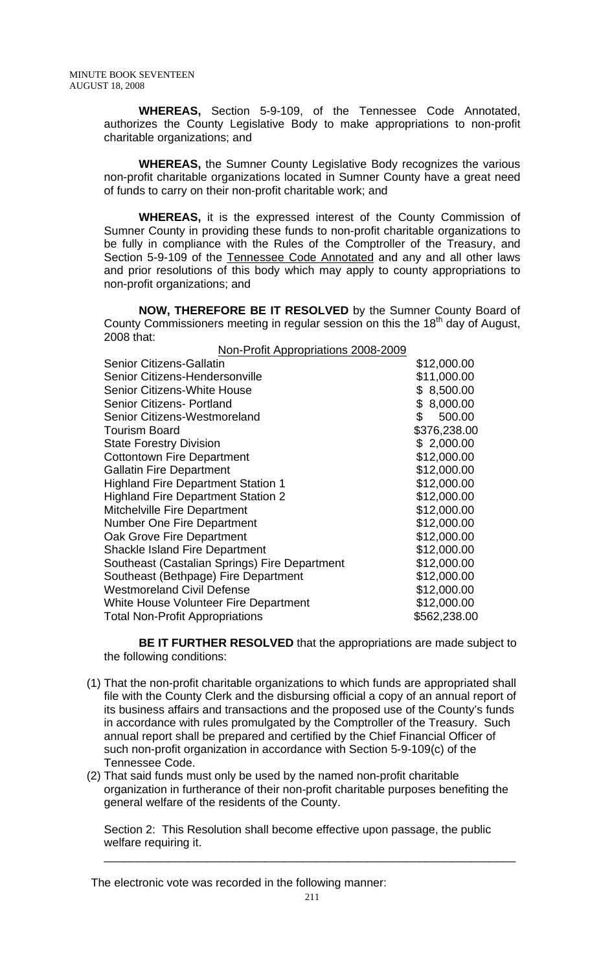**WHEREAS,** Section 5-9-109, of the Tennessee Code Annotated, authorizes the County Legislative Body to make appropriations to non-profit charitable organizations; and

**WHEREAS,** the Sumner County Legislative Body recognizes the various non-profit charitable organizations located in Sumner County have a great need of funds to carry on their non-profit charitable work; and

**WHEREAS,** it is the expressed interest of the County Commission of Sumner County in providing these funds to non-profit charitable organizations to be fully in compliance with the Rules of the Comptroller of the Treasury, and Section 5-9-109 of the Tennessee Code Annotated and any and all other laws and prior resolutions of this body which may apply to county appropriations to non-profit organizations; and

**NOW, THEREFORE BE IT RESOLVED** by the Sumner County Board of County Commissioners meeting in regular session on this the 18<sup>th</sup> day of August, 2008 that:

| Non-Profit Appropriations 2008-2009           |              |
|-----------------------------------------------|--------------|
| <b>Senior Citizens-Gallatin</b>               | \$12,000.00  |
| Senior Citizens-Hendersonville                | \$11,000.00  |
| <b>Senior Citizens-White House</b>            | \$8,500.00   |
| <b>Senior Citizens- Portland</b>              | \$8,000.00   |
| Senior Citizens-Westmoreland                  | \$<br>500.00 |
| <b>Tourism Board</b>                          | \$376,238.00 |
| <b>State Forestry Division</b>                | \$2,000.00   |
| <b>Cottontown Fire Department</b>             | \$12,000.00  |
| <b>Gallatin Fire Department</b>               | \$12,000.00  |
| <b>Highland Fire Department Station 1</b>     | \$12,000.00  |
| <b>Highland Fire Department Station 2</b>     | \$12,000.00  |
| <b>Mitchelville Fire Department</b>           | \$12,000.00  |
| Number One Fire Department                    | \$12,000.00  |
| Oak Grove Fire Department                     | \$12,000.00  |
| <b>Shackle Island Fire Department</b>         | \$12,000.00  |
| Southeast (Castalian Springs) Fire Department | \$12,000.00  |
| Southeast (Bethpage) Fire Department          | \$12,000.00  |
| <b>Westmoreland Civil Defense</b>             | \$12,000.00  |
| White House Volunteer Fire Department         | \$12,000.00  |
| <b>Total Non-Profit Appropriations</b>        | \$562,238.00 |

**BE IT FURTHER RESOLVED** that the appropriations are made subject to the following conditions:

- (1) That the non-profit charitable organizations to which funds are appropriated shall file with the County Clerk and the disbursing official a copy of an annual report of its business affairs and transactions and the proposed use of the County's funds in accordance with rules promulgated by the Comptroller of the Treasury. Such annual report shall be prepared and certified by the Chief Financial Officer of such non-profit organization in accordance with Section 5-9-109(c) of the Tennessee Code.
- (2) That said funds must only be used by the named non-profit charitable organization in furtherance of their non-profit charitable purposes benefiting the general welfare of the residents of the County.

Section 2: This Resolution shall become effective upon passage, the public welfare requiring it.

The electronic vote was recorded in the following manner:

\_\_\_\_\_\_\_\_\_\_\_\_\_\_\_\_\_\_\_\_\_\_\_\_\_\_\_\_\_\_\_\_\_\_\_\_\_\_\_\_\_\_\_\_\_\_\_\_\_\_\_\_\_\_\_\_\_\_\_\_\_\_\_\_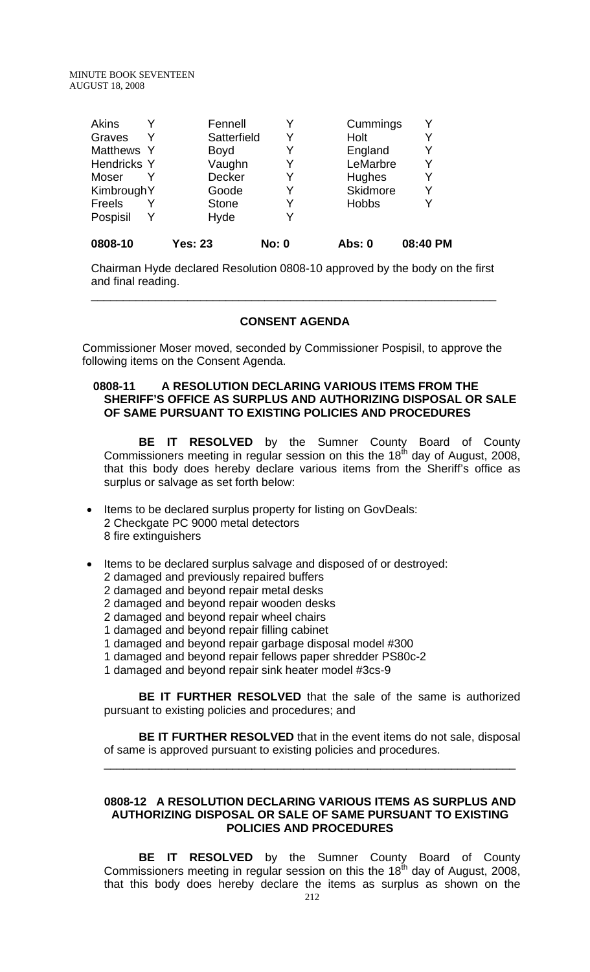| <b>Akins</b>       | Fennell      |   | Cummings     |   |
|--------------------|--------------|---|--------------|---|
| Graves             | Satterfield  | Y | Holt         |   |
| Matthews Y         | <b>Boyd</b>  |   | England      | Y |
| <b>Hendricks Y</b> | Vaughn       | Y | LeMarbre     | Υ |
| Moser              | Decker       |   | Hughes       | Y |
| KimbroughY         | Goode        |   | Skidmore     | Y |
| <b>Freels</b>      | <b>Stone</b> |   | <b>Hobbs</b> |   |
| Pospisil           | Hyde         |   |              |   |
|                    |              |   |              |   |

**0808-10 Yes: 23 No: 0 Abs: 0 08:40 PM**

Chairman Hyde declared Resolution 0808-10 approved by the body on the first and final reading.

## **CONSENT AGENDA**

\_\_\_\_\_\_\_\_\_\_\_\_\_\_\_\_\_\_\_\_\_\_\_\_\_\_\_\_\_\_\_\_\_\_\_\_\_\_\_\_\_\_\_\_\_\_\_\_\_\_\_\_\_\_\_\_\_\_\_\_\_\_\_

 Commissioner Moser moved, seconded by Commissioner Pospisil, to approve the following items on the Consent Agenda.

## **0808-11 A RESOLUTION DECLARING VARIOUS ITEMS FROM THE SHERIFF'S OFFICE AS SURPLUS AND AUTHORIZING DISPOSAL OR SALE OF SAME PURSUANT TO EXISTING POLICIES AND PROCEDURES**

**BE IT RESOLVED** by the Sumner County Board of County Commissioners meeting in regular session on this the 18<sup>th</sup> day of August, 2008, that this body does hereby declare various items from the Sheriff's office as surplus or salvage as set forth below:

- Items to be declared surplus property for listing on GovDeals: 2 Checkgate PC 9000 metal detectors 8 fire extinguishers
- Items to be declared surplus salvage and disposed of or destroyed:
	- 2 damaged and previously repaired buffers
	- 2 damaged and beyond repair metal desks
	- 2 damaged and beyond repair wooden desks
	- 2 damaged and beyond repair wheel chairs
	- 1 damaged and beyond repair filling cabinet
	- 1 damaged and beyond repair garbage disposal model #300
	- 1 damaged and beyond repair fellows paper shredder PS80c-2
	- 1 damaged and beyond repair sink heater model #3cs-9

**BE IT FURTHER RESOLVED** that the sale of the same is authorized pursuant to existing policies and procedures; and

**BE IT FURTHER RESOLVED** that in the event items do not sale, disposal of same is approved pursuant to existing policies and procedures.

\_\_\_\_\_\_\_\_\_\_\_\_\_\_\_\_\_\_\_\_\_\_\_\_\_\_\_\_\_\_\_\_\_\_\_\_\_\_\_\_\_\_\_\_\_\_\_\_\_\_\_\_\_\_\_\_\_\_\_\_\_\_\_\_

## **0808-12 A RESOLUTION DECLARING VARIOUS ITEMS AS SURPLUS AND AUTHORIZING DISPOSAL OR SALE OF SAME PURSUANT TO EXISTING POLICIES AND PROCEDURES**

**BE IT RESOLVED** by the Sumner County Board of County Commissioners meeting in regular session on this the 18<sup>th</sup> day of August, 2008, that this body does hereby declare the items as surplus as shown on the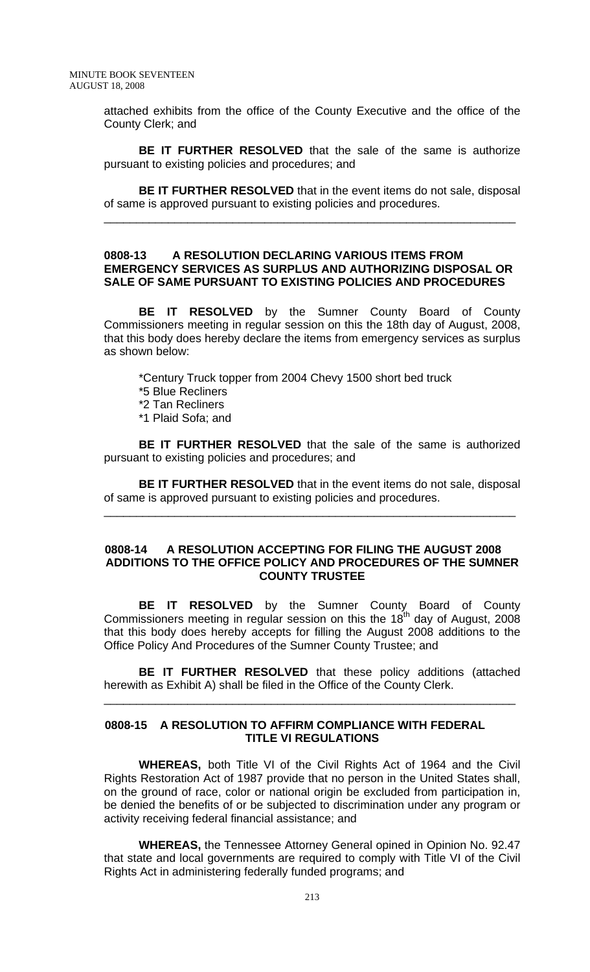attached exhibits from the office of the County Executive and the office of the County Clerk; and

**BE IT FURTHER RESOLVED** that the sale of the same is authorize pursuant to existing policies and procedures; and

**BE IT FURTHER RESOLVED** that in the event items do not sale, disposal of same is approved pursuant to existing policies and procedures.

\_\_\_\_\_\_\_\_\_\_\_\_\_\_\_\_\_\_\_\_\_\_\_\_\_\_\_\_\_\_\_\_\_\_\_\_\_\_\_\_\_\_\_\_\_\_\_\_\_\_\_\_\_\_\_\_\_\_\_\_\_\_\_\_

#### **0808-13 A RESOLUTION DECLARING VARIOUS ITEMS FROM EMERGENCY SERVICES AS SURPLUS AND AUTHORIZING DISPOSAL OR SALE OF SAME PURSUANT TO EXISTING POLICIES AND PROCEDURES**

**BE IT RESOLVED** by the Sumner County Board of County Commissioners meeting in regular session on this the 18th day of August, 2008, that this body does hereby declare the items from emergency services as surplus as shown below:

 \*Century Truck topper from 2004 Chevy 1500 short bed truck \*5 Blue Recliners \*2 Tan Recliners \*1 Plaid Sofa; and

 **BE IT FURTHER RESOLVED** that the sale of the same is authorized pursuant to existing policies and procedures; and

 **BE IT FURTHER RESOLVED** that in the event items do not sale, disposal of same is approved pursuant to existing policies and procedures.

\_\_\_\_\_\_\_\_\_\_\_\_\_\_\_\_\_\_\_\_\_\_\_\_\_\_\_\_\_\_\_\_\_\_\_\_\_\_\_\_\_\_\_\_\_\_\_\_\_\_\_\_\_\_\_\_\_\_\_\_\_\_\_\_

#### **0808-14 A RESOLUTION ACCEPTING FOR FILING THE AUGUST 2008 ADDITIONS TO THE OFFICE POLICY AND PROCEDURES OF THE SUMNER COUNTY TRUSTEE**

 **BE IT RESOLVED** by the Sumner County Board of County Commissioners meeting in regular session on this the 18<sup>th</sup> day of August, 2008 that this body does hereby accepts for filling the August 2008 additions to the Office Policy And Procedures of the Sumner County Trustee; and

**BE IT FURTHER RESOLVED** that these policy additions (attached herewith as Exhibit A) shall be filed in the Office of the County Clerk.

\_\_\_\_\_\_\_\_\_\_\_\_\_\_\_\_\_\_\_\_\_\_\_\_\_\_\_\_\_\_\_\_\_\_\_\_\_\_\_\_\_\_\_\_\_\_\_\_\_\_\_\_\_\_\_\_\_\_\_\_\_\_\_\_

## **0808-15 A RESOLUTION TO AFFIRM COMPLIANCE WITH FEDERAL TITLE VI REGULATIONS**

 **WHEREAS,** both Title VI of the Civil Rights Act of 1964 and the Civil Rights Restoration Act of 1987 provide that no person in the United States shall, on the ground of race, color or national origin be excluded from participation in, be denied the benefits of or be subjected to discrimination under any program or activity receiving federal financial assistance; and

**WHEREAS,** the Tennessee Attorney General opined in Opinion No. 92.47 that state and local governments are required to comply with Title VI of the Civil Rights Act in administering federally funded programs; and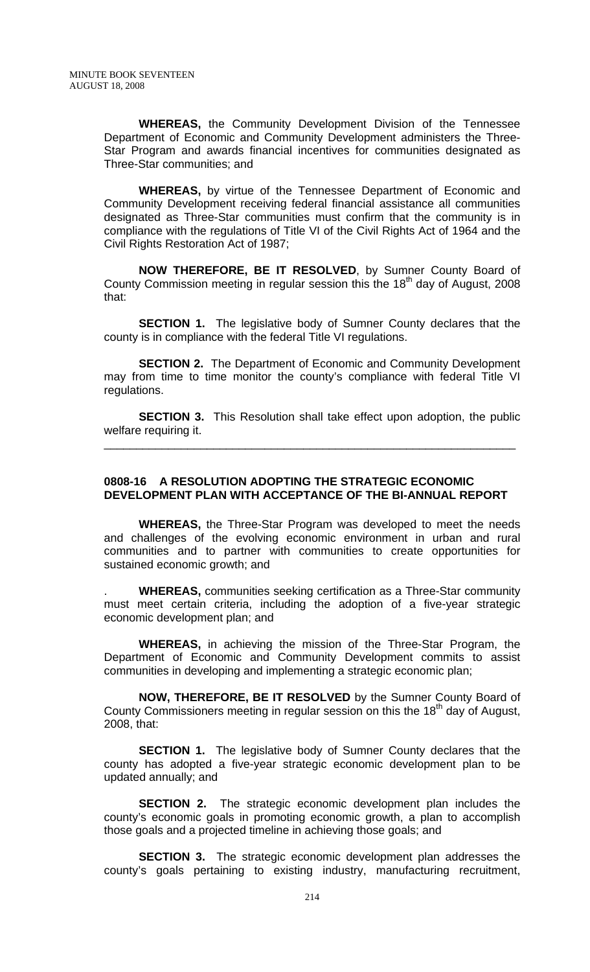**WHEREAS,** the Community Development Division of the Tennessee Department of Economic and Community Development administers the Three-Star Program and awards financial incentives for communities designated as Three-Star communities; and

**WHEREAS,** by virtue of the Tennessee Department of Economic and Community Development receiving federal financial assistance all communities designated as Three-Star communities must confirm that the community is in compliance with the regulations of Title VI of the Civil Rights Act of 1964 and the Civil Rights Restoration Act of 1987;

**NOW THEREFORE, BE IT RESOLVED**, by Sumner County Board of County Commission meeting in regular session this the  $18<sup>th</sup>$  day of August, 2008 that:

**SECTION 1.** The legislative body of Sumner County declares that the county is in compliance with the federal Title VI regulations.

**SECTION 2.** The Department of Economic and Community Development may from time to time monitor the county's compliance with federal Title VI regulations.

**SECTION 3.** This Resolution shall take effect upon adoption, the public welfare requiring it.

\_\_\_\_\_\_\_\_\_\_\_\_\_\_\_\_\_\_\_\_\_\_\_\_\_\_\_\_\_\_\_\_\_\_\_\_\_\_\_\_\_\_\_\_\_\_\_\_\_\_\_\_\_\_\_\_\_\_\_\_\_\_\_\_

### **0808-16 A RESOLUTION ADOPTING THE STRATEGIC ECONOMIC DEVELOPMENT PLAN WITH ACCEPTANCE OF THE BI-ANNUAL REPORT**

 **WHEREAS,** the Three-Star Program was developed to meet the needs and challenges of the evolving economic environment in urban and rural communities and to partner with communities to create opportunities for sustained economic growth; and

. **WHEREAS,** communities seeking certification as a Three-Star community must meet certain criteria, including the adoption of a five-year strategic economic development plan; and

**WHEREAS,** in achieving the mission of the Three-Star Program, the Department of Economic and Community Development commits to assist communities in developing and implementing a strategic economic plan;

**NOW, THEREFORE, BE IT RESOLVED** by the Sumner County Board of County Commissioners meeting in regular session on this the 18<sup>th</sup> day of August, 2008, that:

**SECTION 1.** The legislative body of Sumner County declares that the county has adopted a five-year strategic economic development plan to be updated annually; and

**SECTION 2.** The strategic economic development plan includes the county's economic goals in promoting economic growth, a plan to accomplish those goals and a projected timeline in achieving those goals; and

**SECTION 3.** The strategic economic development plan addresses the county's goals pertaining to existing industry, manufacturing recruitment,